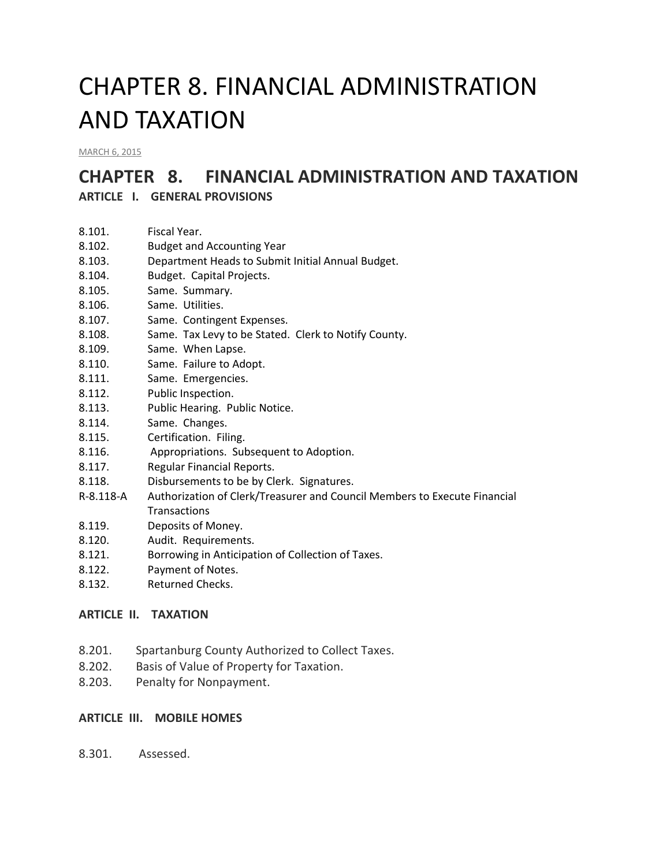# CHAPTER 8. FINANCIAL ADMINISTRATION AND TAXATION

[MARCH](http://townofcampobello.us/chapter-8-financial-administration-and-taxation/) 6, 2015

## **CHAPTER 8. FINANCIAL ADMINISTRATION AND TAXATION**

**ARTICLE I. GENERAL PROVISIONS**

- 8.102. Budget and Accounting Year
- 8.103. Department Heads to Submit Initial Annual Budget.
- 8.104. Budget. Capital Projects.
- 8.105. Same. Summary.
- 8.106. Same. Utilities.
- 8.107. Same. Contingent Expenses.
- 8.108. Same. Tax Levy to be Stated. Clerk to Notify County.
- 8.109. Same. When Lapse.
- 8.110. Same. Failure to Adopt.
- 8.111. Same. Emergencies.
- 8.112. Public Inspection.
- 8.113. Public Hearing. Public Notice.
- 8.114. Same. Changes.
- 8.115. Certification. Filing.
- 8.116. Appropriations. Subsequent to Adoption.
- 8.117. Regular Financial Reports.
- 8.118. Disbursements to be by Clerk. Signatures.
- R-8.118-A Authorization of Clerk/Treasurer and Council Members to Execute Financial **Transactions**
- 8.119. Deposits of Money.
- 8.120. Audit. Requirements.
- 8.121. Borrowing in Anticipation of Collection of Taxes.
- 8.122. Payment of Notes.
- 8.132. Returned Checks.

#### **ARTICLE II. TAXATION**

- 8.201. Spartanburg County Authorized to Collect Taxes.
- 8.202. Basis of Value of Property for Taxation.
- 8.203. Penalty for Nonpayment.

#### **ARTICLE III. MOBILE HOMES**

8.301. Assessed.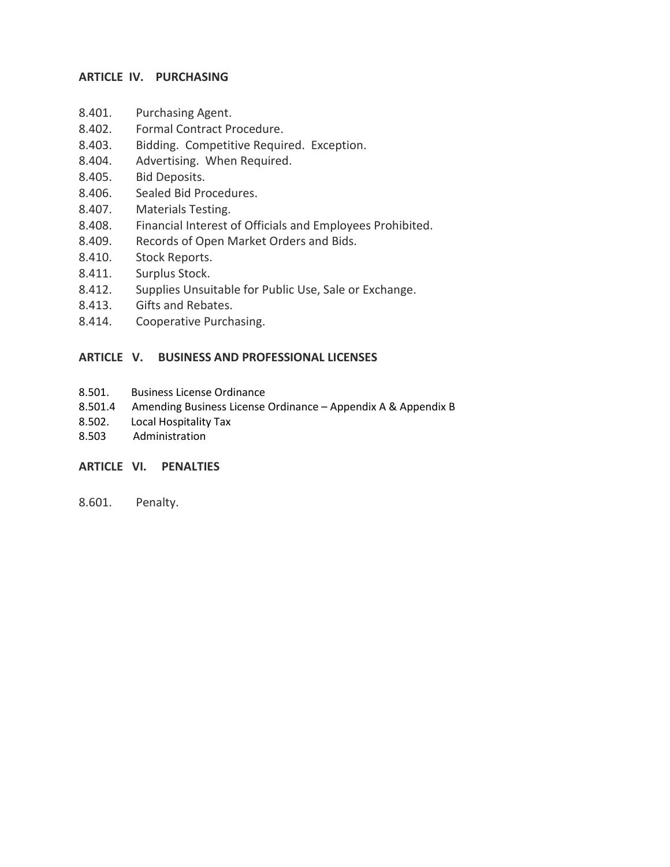#### **ARTICLE IV. PURCHASING**

- 8.401. Purchasing Agent.
- 8.402. Formal Contract Procedure.
- 8.403. Bidding. Competitive Required. Exception.
- 8.404. Advertising. When Required.
- 8.405. Bid Deposits.
- 8.406. Sealed Bid Procedures.
- 8.407. Materials Testing.
- 8.408. Financial Interest of Officials and Employees Prohibited.
- 8.409. Records of Open Market Orders and Bids.
- 8.410. Stock Reports.
- 8.411. Surplus Stock.
- 8.412. Supplies Unsuitable for Public Use, Sale or Exchange.
- 8.413. Gifts and Rebates.
- 8.414. Cooperative Purchasing.

#### **ARTICLE V. BUSINESS AND PROFESSIONAL LICENSES**

- 8.501. Business License Ordinance
- 8.501.4 Amending Business License Ordinance Appendix A & Appendix B
- 8.502. Local Hospitality Tax
- 8.503 Administration

#### **ARTICLE VI. PENALTIES**

8.601. Penalty.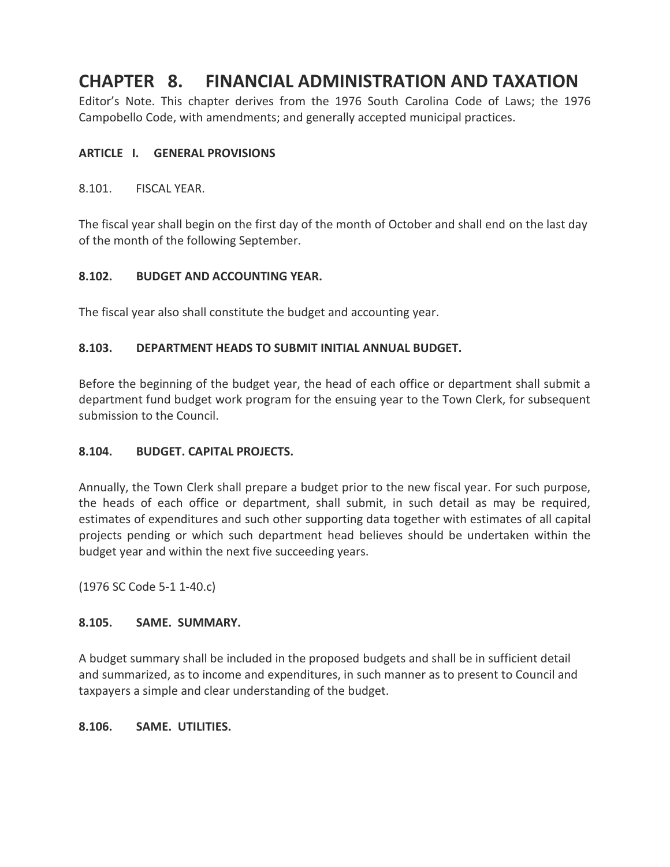## **CHAPTER 8. FINANCIAL ADMINISTRATION AND TAXATION**

Editor's Note. This chapter derives from the 1976 South Carolina Code of Laws; the 1976 Campobello Code, with amendments; and generally accepted municipal practices.

#### **ARTICLE I. GENERAL PROVISIONS**

8.101. FISCAL YEAR.

The fiscal year shall begin on the first day of the month of October and shall end on the last day of the month of the following September.

#### **8.102. BUDGET AND ACCOUNTING YEAR.**

The fiscal year also shall constitute the budget and accounting year.

#### **8.103. DEPARTMENT HEADS TO SUBMIT INITIAL ANNUAL BUDGET.**

Before the beginning of the budget year, the head of each office or department shall submit a department fund budget work program for the ensuing year to the Town Clerk, for subsequent submission to the Council.

#### **8.104. BUDGET. CAPITAL PROJECTS.**

Annually, the Town Clerk shall prepare a budget prior to the new fiscal year. For such purpose, the heads of each office or department, shall submit, in such detail as may be required, estimates of expenditures and such other supporting data together with estimates of all capital projects pending or which such department head believes should be undertaken within the budget year and within the next five succeeding years.

(1976 SC Code 5-1 1-40.c)

#### **8.105. SAME. SUMMARY.**

A budget summary shall be included in the proposed budgets and shall be in sufficient detail and summarized, as to income and expenditures, in such manner as to present to Council and taxpayers a simple and clear understanding of the budget.

#### **8.106. SAME. UTILITIES.**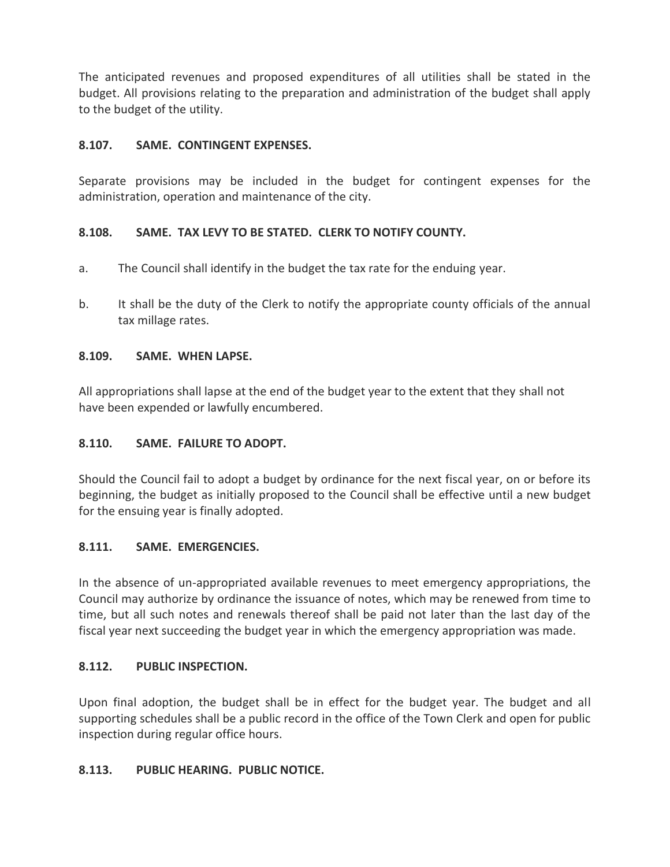The anticipated revenues and proposed expenditures of all utilities shall be stated in the budget. All provisions relating to the preparation and administration of the budget shall apply to the budget of the utility.

#### **8.107. SAME. CONTINGENT EXPENSES.**

Separate provisions may be included in the budget for contingent expenses for the administration, operation and maintenance of the city.

#### **8.108. SAME. TAX LEVY TO BE STATED. CLERK TO NOTIFY COUNTY.**

- a. The Council shall identify in the budget the tax rate for the enduing year.
- b. It shall be the duty of the Clerk to notify the appropriate county officials of the annual tax millage rates.

#### **8.109. SAME. WHEN LAPSE.**

All appropriations shall lapse at the end of the budget year to the extent that they shall not have been expended or lawfully encumbered.

#### **8.110. SAME. FAILURE TO ADOPT.**

Should the Council fail to adopt a budget by ordinance for the next fiscal year, on or before its beginning, the budget as initially proposed to the Council shall be effective until a new budget for the ensuing year is finally adopted.

#### **8.111. SAME. EMERGENCIES.**

In the absence of un-appropriated available revenues to meet emergency appropriations, the Council may authorize by ordinance the issuance of notes, which may be renewed from time to time, but all such notes and renewals thereof shall be paid not later than the last day of the fiscal year next succeeding the budget year in which the emergency appropriation was made.

#### **8.112. PUBLIC INSPECTION.**

Upon final adoption, the budget shall be in effect for the budget year. The budget and all supporting schedules shall be a public record in the office of the Town Clerk and open for public inspection during regular office hours.

#### **8.113. PUBLIC HEARING. PUBLIC NOTICE.**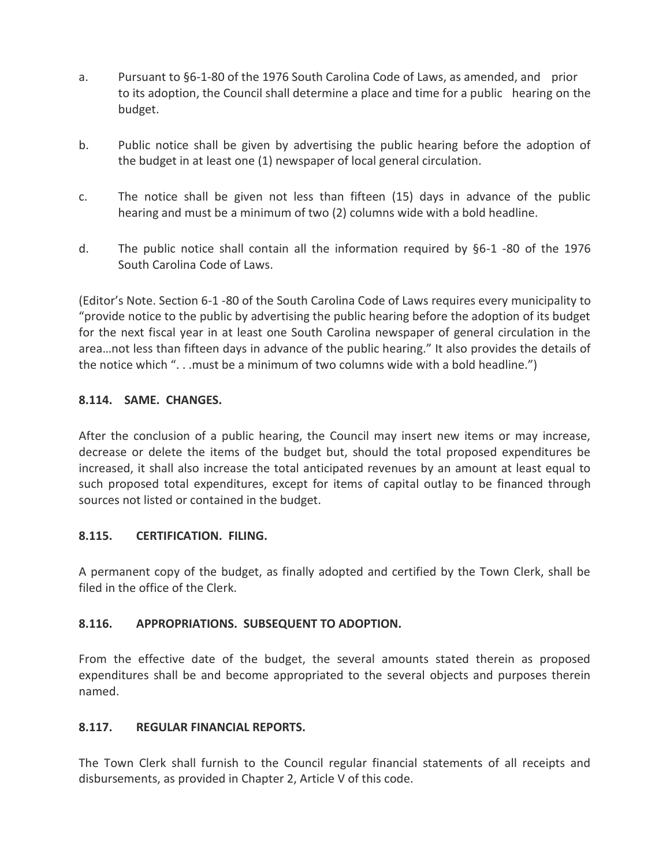- a. Pursuant to §6-1-80 of the 1976 South Carolina Code of Laws, as amended, and prior to its adoption, the Council shall determine a place and time for a public hearing on the budget.
- b. Public notice shall be given by advertising the public hearing before the adoption of the budget in at least one (1) newspaper of local general circulation.
- c. The notice shall be given not less than fifteen (15) days in advance of the public hearing and must be a minimum of two (2) columns wide with a bold headline.
- d. The public notice shall contain all the information required by §6-1 -80 of the 1976 South Carolina Code of Laws.

(Editor's Note. Section 6-1 -80 of the South Carolina Code of Laws requires every municipality to "provide notice to the public by advertising the public hearing before the adoption of its budget for the next fiscal year in at least one South Carolina newspaper of general circulation in the area…not less than fifteen days in advance of the public hearing." It also provides the details of the notice which ". . .must be a minimum of two columns wide with a bold headline.")

#### **8.114. SAME. CHANGES.**

After the conclusion of a public hearing, the Council may insert new items or may increase, decrease or delete the items of the budget but, should the total proposed expenditures be increased, it shall also increase the total anticipated revenues by an amount at least equal to such proposed total expenditures, except for items of capital outlay to be financed through sources not listed or contained in the budget.

#### **8.115. CERTIFICATION. FILING.**

A permanent copy of the budget, as finally adopted and certified by the Town Clerk, shall be filed in the office of the Clerk.

#### **8.116. APPROPRIATIONS. SUBSEQUENT TO ADOPTION.**

From the effective date of the budget, the several amounts stated therein as proposed expenditures shall be and become appropriated to the several objects and purposes therein named.

#### **8.117. REGULAR FINANCIAL REPORTS.**

The Town Clerk shall furnish to the Council regular financial statements of all receipts and disbursements, as provided in Chapter 2, Article V of this code.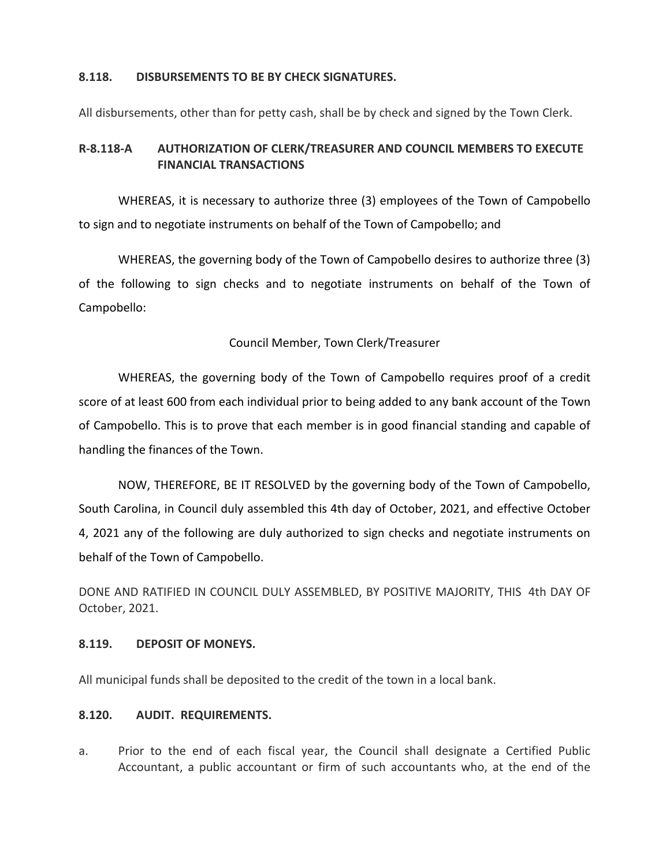#### **8.118. DISBURSEMENTS TO BE BY CHECK SIGNATURES.**

All disbursements, other than for petty cash, shall be by check and signed by the Town Clerk.

#### **R-8.118-A AUTHORIZATION OF CLERK/TREASURER AND COUNCIL MEMBERS TO EXECUTE FINANCIAL TRANSACTIONS**

WHEREAS, it is necessary to authorize three (3) employees of the Town of Campobello to sign and to negotiate instruments on behalf of the Town of Campobello; and

WHEREAS, the governing body of the Town of Campobello desires to authorize three (3) of the following to sign checks and to negotiate instruments on behalf of the Town of Campobello:

#### Council Member, Town Clerk/Treasurer

WHEREAS, the governing body of the Town of Campobello requires proof of a credit score of at least 600 from each individual prior to being added to any bank account of the Town of Campobello. This is to prove that each member is in good financial standing and capable of handling the finances of the Town.

NOW, THEREFORE, BE IT RESOLVED by the governing body of the Town of Campobello, South Carolina, in Council duly assembled this 4th day of October, 2021, and effective October 4, 2021 any of the following are duly authorized to sign checks and negotiate instruments on behalf of the Town of Campobello.

DONE AND RATIFIED IN COUNCIL DULY ASSEMBLED, BY POSITIVE MAJORITY, THIS 4th DAY OF October, 2021.

#### **8.119. DEPOSIT OF MONEYS.**

All municipal funds shall be deposited to the credit of the town in a local bank.

#### **8.120. AUDIT. REQUIREMENTS.**

a. Prior to the end of each fiscal year, the Council shall designate a Certified Public Accountant, a public accountant or firm of such accountants who, at the end of the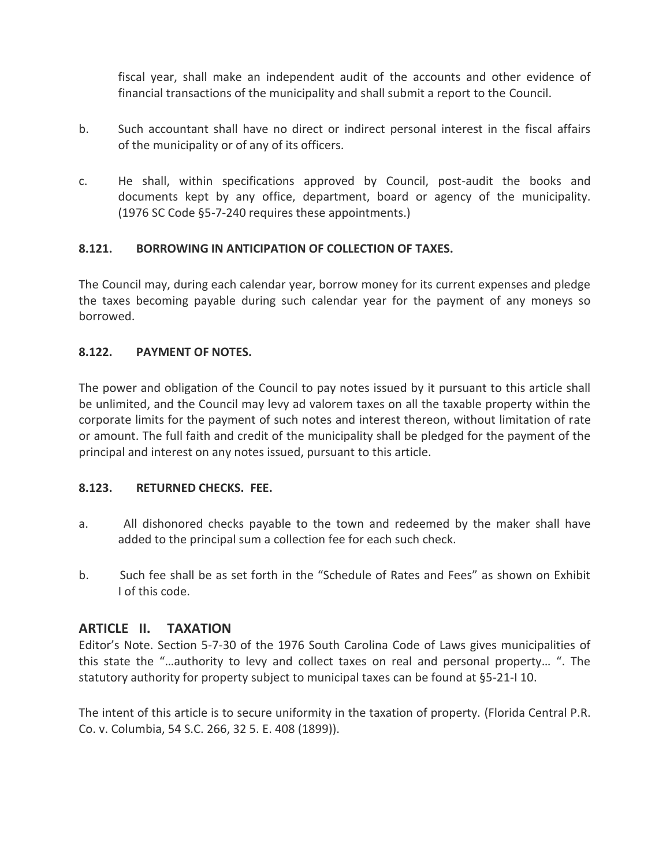fiscal year, shall make an independent audit of the accounts and other evidence of financial transactions of the municipality and shall submit a report to the Council.

- b. Such accountant shall have no direct or indirect personal interest in the fiscal affairs of the municipality or of any of its officers.
- c. He shall, within specifications approved by Council, post-audit the books and documents kept by any office, department, board or agency of the municipality. (1976 SC Code §5-7-240 requires these appointments.)

#### **8.121. BORROWING IN ANTICIPATION OF COLLECTION OF TAXES.**

The Council may, during each calendar year, borrow money for its current expenses and pledge the taxes becoming payable during such calendar year for the payment of any moneys so borrowed.

#### **8.122. PAYMENT OF NOTES.**

The power and obligation of the Council to pay notes issued by it pursuant to this article shall be unlimited, and the Council may levy ad valorem taxes on all the taxable property within the corporate limits for the payment of such notes and interest thereon, without limitation of rate or amount. The full faith and credit of the municipality shall be pledged for the payment of the principal and interest on any notes issued, pursuant to this article.

#### **8.123. RETURNED CHECKS. FEE.**

- a. All dishonored checks payable to the town and redeemed by the maker shall have added to the principal sum a collection fee for each such check.
- b. Such fee shall be as set forth in the "Schedule of Rates and Fees" as shown on Exhibit I of this code.

#### **ARTICLE II. TAXATION**

Editor's Note. Section 5-7-30 of the 1976 South Carolina Code of Laws gives municipalities of this state the "…authority to levy and collect taxes on real and personal property… ". The statutory authority for property subject to municipal taxes can be found at §5-21-I 10.

The intent of this article is to secure uniformity in the taxation of property. (Florida Central P.R. Co. v. Columbia, 54 S.C. 266, 32 5. E. 408 (1899)).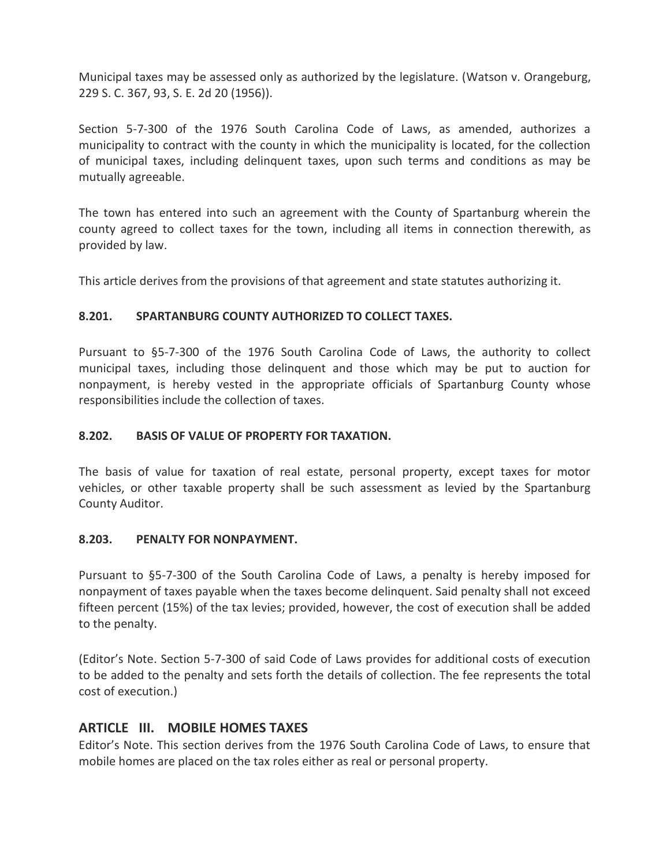Municipal taxes may be assessed only as authorized by the legislature. (Watson v. Orangeburg, 229 S. C. 367, 93, S. E. 2d 20 (1956)).

Section 5-7-300 of the 1976 South Carolina Code of Laws, as amended, authorizes a municipality to contract with the county in which the municipality is located, for the collection of municipal taxes, including delinquent taxes, upon such terms and conditions as may be mutually agreeable.

The town has entered into such an agreement with the County of Spartanburg wherein the county agreed to collect taxes for the town, including all items in connection therewith, as provided by law.

This article derives from the provisions of that agreement and state statutes authorizing it.

#### **8.201. SPARTANBURG COUNTY AUTHORIZED TO COLLECT TAXES.**

Pursuant to §5-7-300 of the 1976 South Carolina Code of Laws, the authority to collect municipal taxes, including those delinquent and those which may be put to auction for nonpayment, is hereby vested in the appropriate officials of Spartanburg County whose responsibilities include the collection of taxes.

#### **8.202. BASIS OF VALUE OF PROPERTY FOR TAXATION.**

The basis of value for taxation of real estate, personal property, except taxes for motor vehicles, or other taxable property shall be such assessment as levied by the Spartanburg County Auditor.

#### **8.203. PENALTY FOR NONPAYMENT.**

Pursuant to §5-7-300 of the South Carolina Code of Laws, a penalty is hereby imposed for nonpayment of taxes payable when the taxes become delinquent. Said penalty shall not exceed fifteen percent (15%) of the tax levies; provided, however, the cost of execution shall be added to the penalty.

(Editor's Note. Section 5-7-300 of said Code of Laws provides for additional costs of execution to be added to the penalty and sets forth the details of collection. The fee represents the total cost of execution.)

#### **ARTICLE III. MOBILE HOMES TAXES**

Editor's Note. This section derives from the 1976 South Carolina Code of Laws, to ensure that mobile homes are placed on the tax roles either as real or personal property.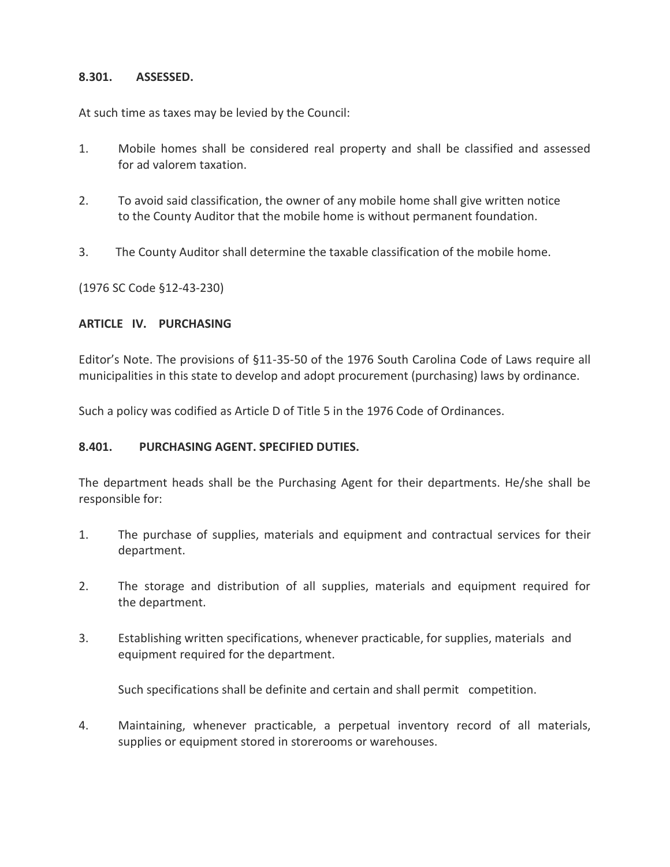#### **8.301. ASSESSED.**

At such time as taxes may be levied by the Council:

- 1. Mobile homes shall be considered real property and shall be classified and assessed for ad valorem taxation.
- 2. To avoid said classification, the owner of any mobile home shall give written notice to the County Auditor that the mobile home is without permanent foundation.
- 3. The County Auditor shall determine the taxable classification of the mobile home.

(1976 SC Code §12-43-230)

#### **ARTICLE IV. PURCHASING**

Editor's Note. The provisions of §11-35-50 of the 1976 South Carolina Code of Laws require all municipalities in this state to develop and adopt procurement (purchasing) laws by ordinance.

Such a policy was codified as Article D of Title 5 in the 1976 Code of Ordinances.

#### **8.401. PURCHASING AGENT. SPECIFIED DUTIES.**

The department heads shall be the Purchasing Agent for their departments. He/she shall be responsible for:

- 1. The purchase of supplies, materials and equipment and contractual services for their department.
- 2. The storage and distribution of all supplies, materials and equipment required for the department.
- 3. Establishing written specifications, whenever practicable, for supplies, materials and equipment required for the department.

Such specifications shall be definite and certain and shall permit competition.

4. Maintaining, whenever practicable, a perpetual inventory record of all materials, supplies or equipment stored in storerooms or warehouses.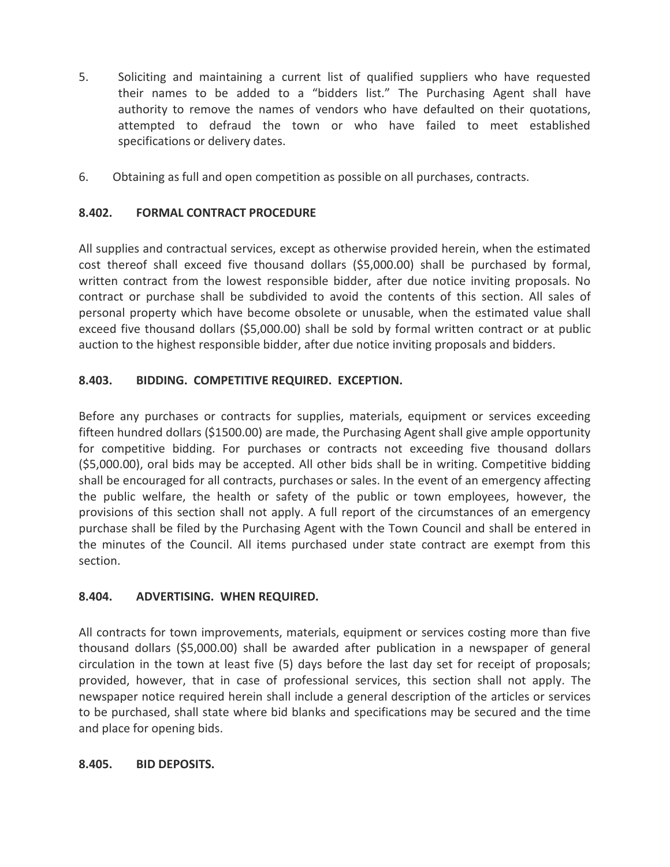- 5. Soliciting and maintaining a current list of qualified suppliers who have requested their names to be added to a "bidders list." The Purchasing Agent shall have authority to remove the names of vendors who have defaulted on their quotations, attempted to defraud the town or who have failed to meet established specifications or delivery dates.
- 6. Obtaining as full and open competition as possible on all purchases, contracts.

#### **8.402. FORMAL CONTRACT PROCEDURE**

All supplies and contractual services, except as otherwise provided herein, when the estimated cost thereof shall exceed five thousand dollars (\$5,000.00) shall be purchased by formal, written contract from the lowest responsible bidder, after due notice inviting proposals. No contract or purchase shall be subdivided to avoid the contents of this section. All sales of personal property which have become obsolete or unusable, when the estimated value shall exceed five thousand dollars (\$5,000.00) shall be sold by formal written contract or at public auction to the highest responsible bidder, after due notice inviting proposals and bidders.

#### **8.403. BIDDING. COMPETITIVE REQUIRED. EXCEPTION.**

Before any purchases or contracts for supplies, materials, equipment or services exceeding fifteen hundred dollars (\$1500.00) are made, the Purchasing Agent shall give ample opportunity for competitive bidding. For purchases or contracts not exceeding five thousand dollars (\$5,000.00), oral bids may be accepted. All other bids shall be in writing. Competitive bidding shall be encouraged for all contracts, purchases or sales. In the event of an emergency affecting the public welfare, the health or safety of the public or town employees, however, the provisions of this section shall not apply. A full report of the circumstances of an emergency purchase shall be filed by the Purchasing Agent with the Town Council and shall be entered in the minutes of the Council. All items purchased under state contract are exempt from this section.

#### **8.404. ADVERTISING. WHEN REQUIRED.**

All contracts for town improvements, materials, equipment or services costing more than five thousand dollars (\$5,000.00) shall be awarded after publication in a newspaper of general circulation in the town at least five (5) days before the last day set for receipt of proposals; provided, however, that in case of professional services, this section shall not apply. The newspaper notice required herein shall include a general description of the articles or services to be purchased, shall state where bid blanks and specifications may be secured and the time and place for opening bids.

#### **8.405. BID DEPOSITS.**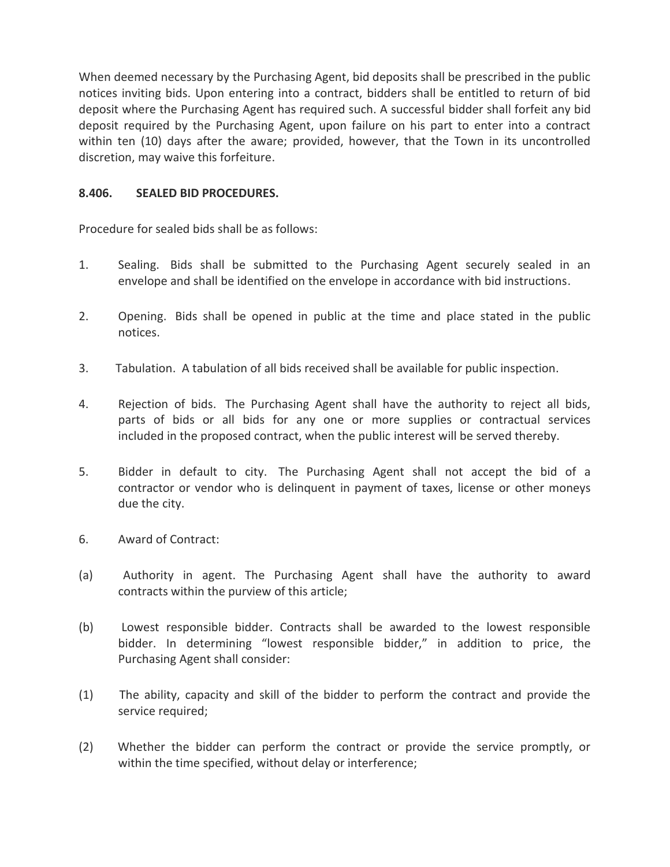When deemed necessary by the Purchasing Agent, bid deposits shall be prescribed in the public notices inviting bids. Upon entering into a contract, bidders shall be entitled to return of bid deposit where the Purchasing Agent has required such. A successful bidder shall forfeit any bid deposit required by the Purchasing Agent, upon failure on his part to enter into a contract within ten (10) days after the aware; provided, however, that the Town in its uncontrolled discretion, may waive this forfeiture.

#### **8.406. SEALED BID PROCEDURES.**

Procedure for sealed bids shall be as follows:

- 1. Sealing. Bids shall be submitted to the Purchasing Agent securely sealed in an envelope and shall be identified on the envelope in accordance with bid instructions.
- 2. Opening. Bids shall be opened in public at the time and place stated in the public notices.
- 3. Tabulation. A tabulation of all bids received shall be available for public inspection.
- 4. Rejection of bids. The Purchasing Agent shall have the authority to reject all bids, parts of bids or all bids for any one or more supplies or contractual services included in the proposed contract, when the public interest will be served thereby.
- 5. Bidder in default to city. The Purchasing Agent shall not accept the bid of a contractor or vendor who is delinquent in payment of taxes, license or other moneys due the city.
- 6. Award of Contract:
- (a) Authority in agent. The Purchasing Agent shall have the authority to award contracts within the purview of this article;
- (b) Lowest responsible bidder. Contracts shall be awarded to the lowest responsible bidder. In determining "lowest responsible bidder," in addition to price, the Purchasing Agent shall consider:
- (1) The ability, capacity and skill of the bidder to perform the contract and provide the service required;
- (2) Whether the bidder can perform the contract or provide the service promptly, or within the time specified, without delay or interference;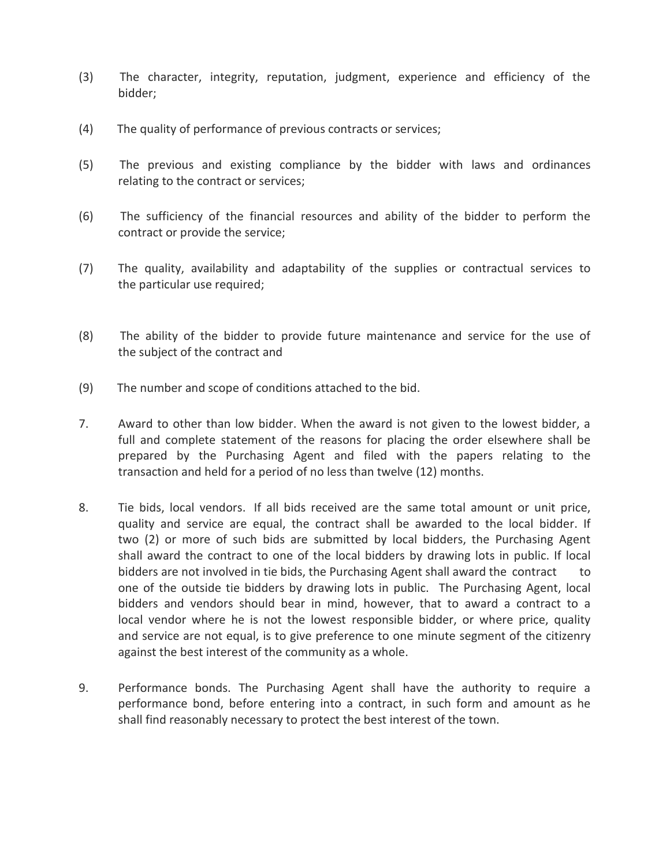- (3) The character, integrity, reputation, judgment, experience and efficiency of the bidder;
- (4) The quality of performance of previous contracts or services;
- (5) The previous and existing compliance by the bidder with laws and ordinances relating to the contract or services;
- (6) The sufficiency of the financial resources and ability of the bidder to perform the contract or provide the service;
- (7) The quality, availability and adaptability of the supplies or contractual services to the particular use required;
- (8) The ability of the bidder to provide future maintenance and service for the use of the subject of the contract and
- (9) The number and scope of conditions attached to the bid.
- 7. Award to other than low bidder. When the award is not given to the lowest bidder, a full and complete statement of the reasons for placing the order elsewhere shall be prepared by the Purchasing Agent and filed with the papers relating to the transaction and held for a period of no less than twelve (12) months.
- 8. Tie bids, local vendors. If all bids received are the same total amount or unit price, quality and service are equal, the contract shall be awarded to the local bidder. If two (2) or more of such bids are submitted by local bidders, the Purchasing Agent shall award the contract to one of the local bidders by drawing lots in public. If local bidders are not involved in tie bids, the Purchasing Agent shall award the contract one of the outside tie bidders by drawing lots in public. The Purchasing Agent, local bidders and vendors should bear in mind, however, that to award a contract to a local vendor where he is not the lowest responsible bidder, or where price, quality and service are not equal, is to give preference to one minute segment of the citizenry against the best interest of the community as a whole.
- 9. Performance bonds. The Purchasing Agent shall have the authority to require a performance bond, before entering into a contract, in such form and amount as he shall find reasonably necessary to protect the best interest of the town.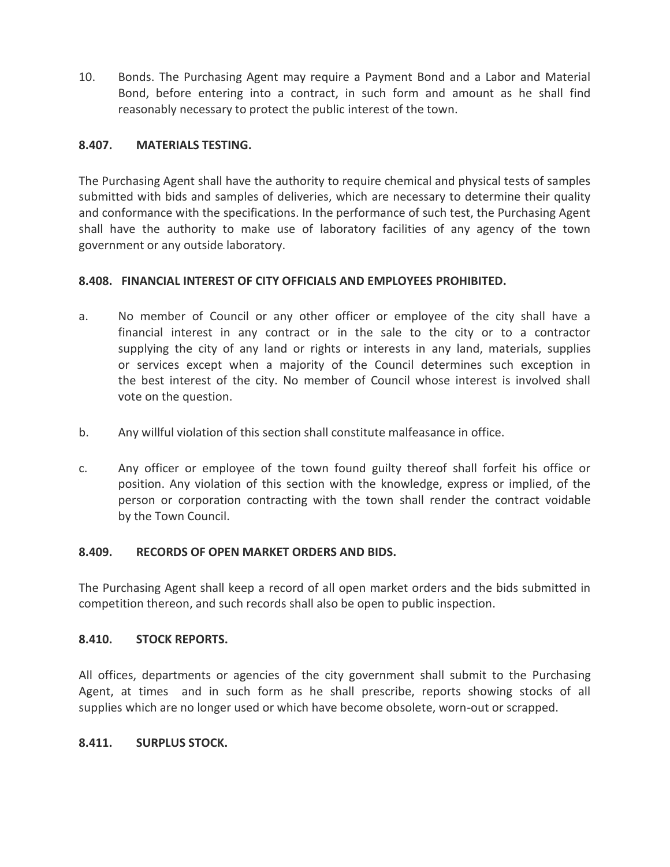10. Bonds. The Purchasing Agent may require a Payment Bond and a Labor and Material Bond, before entering into a contract, in such form and amount as he shall find reasonably necessary to protect the public interest of the town.

#### **8.407. MATERIALS TESTING.**

The Purchasing Agent shall have the authority to require chemical and physical tests of samples submitted with bids and samples of deliveries, which are necessary to determine their quality and conformance with the specifications. In the performance of such test, the Purchasing Agent shall have the authority to make use of laboratory facilities of any agency of the town government or any outside laboratory.

#### **8.408. FINANCIAL INTEREST OF CITY OFFICIALS AND EMPLOYEES PROHIBITED.**

- a. No member of Council or any other officer or employee of the city shall have a financial interest in any contract or in the sale to the city or to a contractor supplying the city of any land or rights or interests in any land, materials, supplies or services except when a majority of the Council determines such exception in the best interest of the city. No member of Council whose interest is involved shall vote on the question.
- b. Any willful violation of this section shall constitute malfeasance in office.
- c. Any officer or employee of the town found guilty thereof shall forfeit his office or position. Any violation of this section with the knowledge, express or implied, of the person or corporation contracting with the town shall render the contract voidable by the Town Council.

#### **8.409. RECORDS OF OPEN MARKET ORDERS AND BIDS.**

The Purchasing Agent shall keep a record of all open market orders and the bids submitted in competition thereon, and such records shall also be open to public inspection.

#### **8.410. STOCK REPORTS.**

All offices, departments or agencies of the city government shall submit to the Purchasing Agent, at times and in such form as he shall prescribe, reports showing stocks of all supplies which are no longer used or which have become obsolete, worn-out or scrapped.

#### **8.411. SURPLUS STOCK.**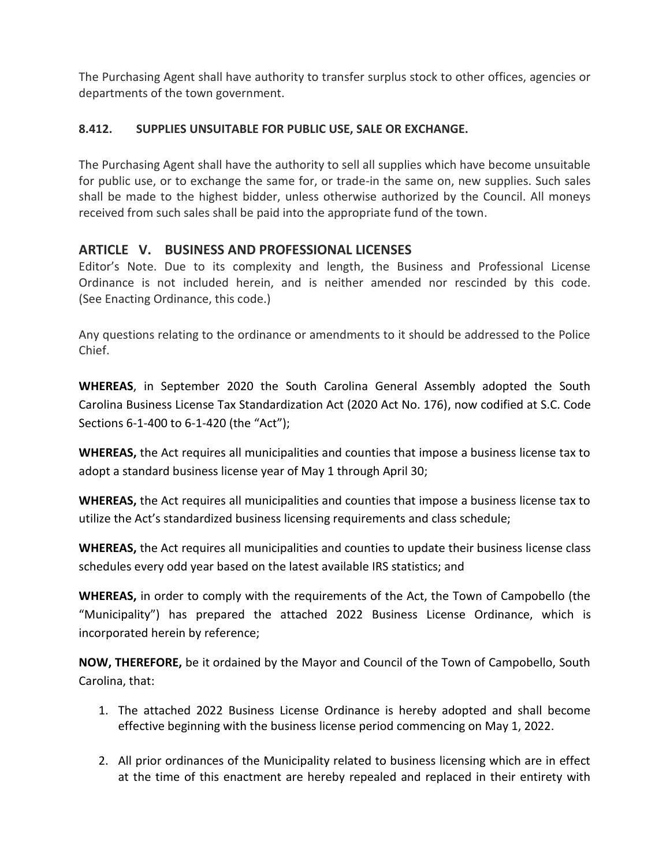The Purchasing Agent shall have authority to transfer surplus stock to other offices, agencies or departments of the town government.

#### **8.412. SUPPLIES UNSUITABLE FOR PUBLIC USE, SALE OR EXCHANGE.**

The Purchasing Agent shall have the authority to sell all supplies which have become unsuitable for public use, or to exchange the same for, or trade-in the same on, new supplies. Such sales shall be made to the highest bidder, unless otherwise authorized by the Council. All moneys received from such sales shall be paid into the appropriate fund of the town.

#### **ARTICLE V. BUSINESS AND PROFESSIONAL LICENSES**

Editor's Note. Due to its complexity and length, the Business and Professional License Ordinance is not included herein, and is neither amended nor rescinded by this code. (See Enacting Ordinance, this code.)

Any questions relating to the ordinance or amendments to it should be addressed to the Police Chief.

**WHEREAS**, in September 2020 the South Carolina General Assembly adopted the South Carolina Business License Tax Standardization Act (2020 Act No. 176), now codified at S.C. Code Sections 6-1-400 to 6-1-420 (the "Act");

**WHEREAS,** the Act requires all municipalities and counties that impose a business license tax to adopt a standard business license year of May 1 through April 30;

**WHEREAS,** the Act requires all municipalities and counties that impose a business license tax to utilize the Act's standardized business licensing requirements and class schedule;

**WHEREAS,** the Act requires all municipalities and counties to update their business license class schedules every odd year based on the latest available IRS statistics; and

**WHEREAS,** in order to comply with the requirements of the Act, the Town of Campobello (the "Municipality") has prepared the attached 2022 Business License Ordinance, which is incorporated herein by reference;

**NOW, THEREFORE,** be it ordained by the Mayor and Council of the Town of Campobello, South Carolina, that:

- 1. The attached 2022 Business License Ordinance is hereby adopted and shall become effective beginning with the business license period commencing on May 1, 2022.
- 2. All prior ordinances of the Municipality related to business licensing which are in effect at the time of this enactment are hereby repealed and replaced in their entirety with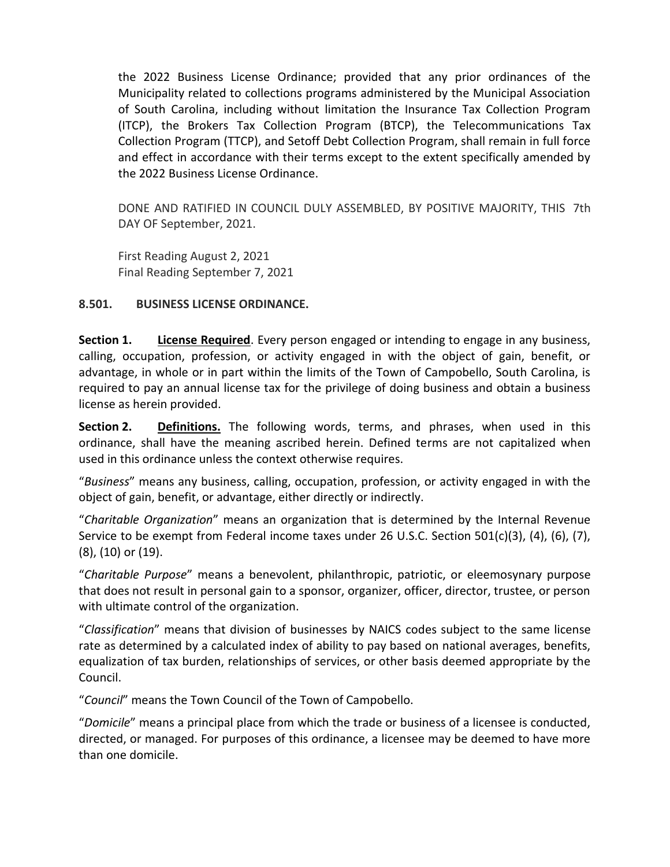the 2022 Business License Ordinance; provided that any prior ordinances of the Municipality related to collections programs administered by the Municipal Association of South Carolina, including without limitation the Insurance Tax Collection Program (ITCP), the Brokers Tax Collection Program (BTCP), the Telecommunications Tax Collection Program (TTCP), and Setoff Debt Collection Program, shall remain in full force and effect in accordance with their terms except to the extent specifically amended by the 2022 Business License Ordinance.

DONE AND RATIFIED IN COUNCIL DULY ASSEMBLED, BY POSITIVE MAJORITY, THIS 7th DAY OF September, 2021.

First Reading August 2, 2021 Final Reading September 7, 2021

#### **8.501. BUSINESS LICENSE ORDINANCE.**

**Section 1. License Required**. Every person engaged or intending to engage in any business, calling, occupation, profession, or activity engaged in with the object of gain, benefit, or advantage, in whole or in part within the limits of the Town of Campobello, South Carolina, is required to pay an annual license tax for the privilege of doing business and obtain a business license as herein provided.

**Section 2.** Definitions. The following words, terms, and phrases, when used in this ordinance, shall have the meaning ascribed herein. Defined terms are not capitalized when used in this ordinance unless the context otherwise requires.

"*Business*" means any business, calling, occupation, profession, or activity engaged in with the object of gain, benefit, or advantage, either directly or indirectly.

"*Charitable Organization*" means an organization that is determined by the Internal Revenue Service to be exempt from Federal income taxes under 26 U.S.C. Section 501(c)(3), (4), (6), (7), (8), (10) or (19).

"*Charitable Purpose*" means a benevolent, philanthropic, patriotic, or eleemosynary purpose that does not result in personal gain to a sponsor, organizer, officer, director, trustee, or person with ultimate control of the organization.

"*Classification*" means that division of businesses by NAICS codes subject to the same license rate as determined by a calculated index of ability to pay based on national averages, benefits, equalization of tax burden, relationships of services, or other basis deemed appropriate by the Council.

"*Council*" means the Town Council of the Town of Campobello.

"*Domicile*" means a principal place from which the trade or business of a licensee is conducted, directed, or managed. For purposes of this ordinance, a licensee may be deemed to have more than one domicile.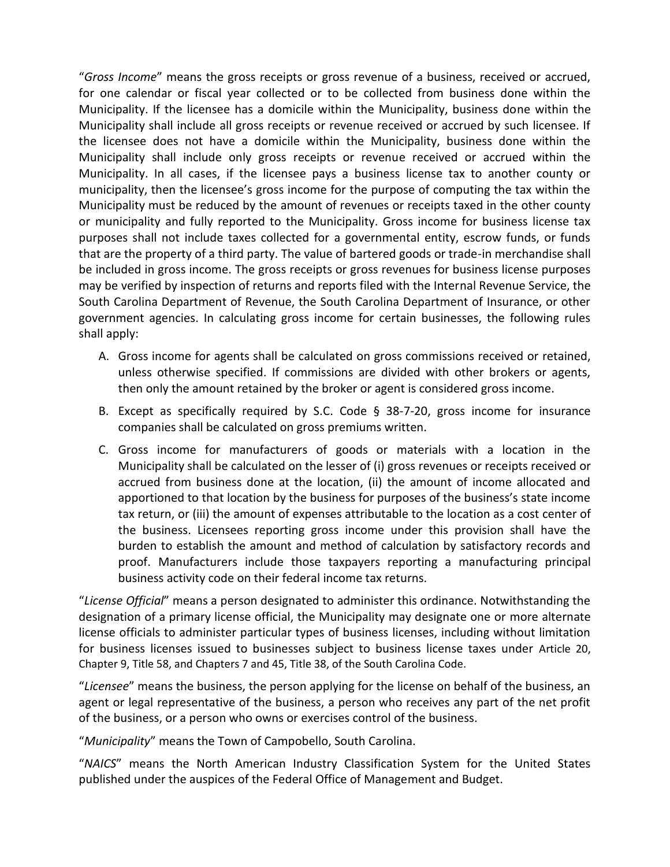"*Gross Income*" means the gross receipts or gross revenue of a business, received or accrued, for one calendar or fiscal year collected or to be collected from business done within the Municipality. If the licensee has a domicile within the Municipality, business done within the Municipality shall include all gross receipts or revenue received or accrued by such licensee. If the licensee does not have a domicile within the Municipality, business done within the Municipality shall include only gross receipts or revenue received or accrued within the Municipality. In all cases, if the licensee pays a business license tax to another county or municipality, then the licensee's gross income for the purpose of computing the tax within the Municipality must be reduced by the amount of revenues or receipts taxed in the other county or municipality and fully reported to the Municipality. Gross income for business license tax purposes shall not include taxes collected for a governmental entity, escrow funds, or funds that are the property of a third party. The value of bartered goods or trade-in merchandise shall be included in gross income. The gross receipts or gross revenues for business license purposes may be verified by inspection of returns and reports filed with the Internal Revenue Service, the South Carolina Department of Revenue, the South Carolina Department of Insurance, or other government agencies. In calculating gross income for certain businesses, the following rules shall apply:

- A. Gross income for agents shall be calculated on gross commissions received or retained, unless otherwise specified. If commissions are divided with other brokers or agents, then only the amount retained by the broker or agent is considered gross income.
- B. Except as specifically required by S.C. Code  $\S$  38-7-20, gross income for insurance companies shall be calculated on gross premiums written.
- C. Gross income for manufacturers of goods or materials with a location in the Municipality shall be calculated on the lesser of (i) gross revenues or receipts received or accrued from business done at the location, (ii) the amount of income allocated and apportioned to that location by the business for purposes of the business's state income tax return, or (iii) the amount of expenses attributable to the location as a cost center of the business. Licensees reporting gross income under this provision shall have the burden to establish the amount and method of calculation by satisfactory records and proof. Manufacturers include those taxpayers reporting a manufacturing principal business activity code on their federal income tax returns.

"*License Official*" means a person designated to administer this ordinance. Notwithstanding the designation of a primary license official, the Municipality may designate one or more alternate license officials to administer particular types of business licenses, including without limitation for business licenses issued to businesses subject to business license taxes under Article 20, Chapter 9, Title 58, and Chapters 7 and 45, Title 38, of the South Carolina Code.

"*Licensee*" means the business, the person applying for the license on behalf of the business, an agent or legal representative of the business, a person who receives any part of the net profit of the business, or a person who owns or exercises control of the business.

"*Municipality*" means the Town of Campobello, South Carolina.

"*NAICS*" means the North American Industry Classification System for the United States published under the auspices of the Federal Office of Management and Budget.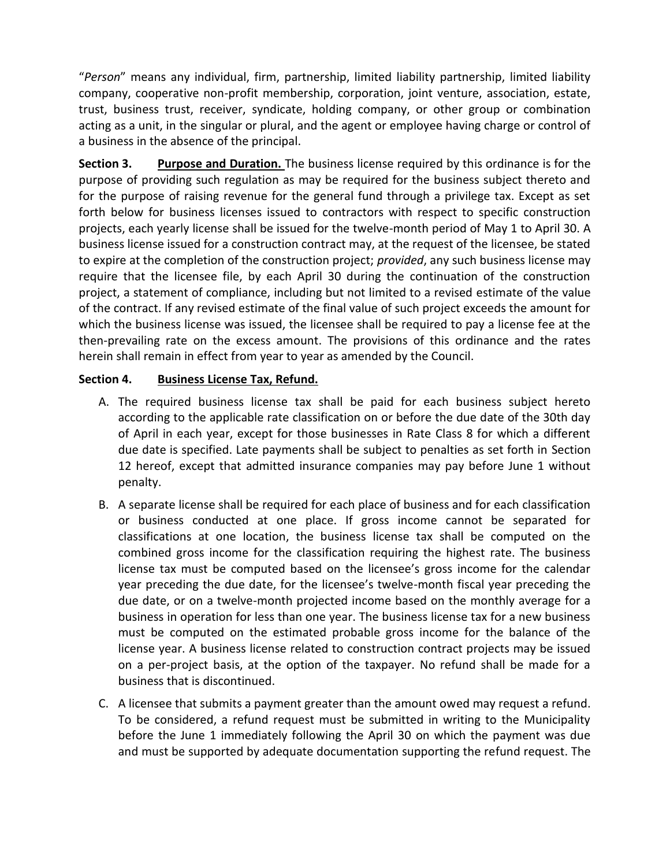"*Person*" means any individual, firm, partnership, limited liability partnership, limited liability company, cooperative non-profit membership, corporation, joint venture, association, estate, trust, business trust, receiver, syndicate, holding company, or other group or combination acting as a unit, in the singular or plural, and the agent or employee having charge or control of a business in the absence of the principal.

**Section 3. Purpose and Duration.** The business license required by this ordinance is for the purpose of providing such regulation as may be required for the business subject thereto and for the purpose of raising revenue for the general fund through a privilege tax. Except as set forth below for business licenses issued to contractors with respect to specific construction projects, each yearly license shall be issued for the twelve-month period of May 1 to April 30. A business license issued for a construction contract may, at the request of the licensee, be stated to expire at the completion of the construction project; *provided*, any such business license may require that the licensee file, by each April 30 during the continuation of the construction project, a statement of compliance, including but not limited to a revised estimate of the value of the contract. If any revised estimate of the final value of such project exceeds the amount for which the business license was issued, the licensee shall be required to pay a license fee at the then-prevailing rate on the excess amount. The provisions of this ordinance and the rates herein shall remain in effect from year to year as amended by the Council.

#### **Section 4. Business License Tax, Refund.**

- A. The required business license tax shall be paid for each business subject hereto according to the applicable rate classification on or before the due date of the 30th day of April in each year, except for those businesses in Rate Class 8 for which a different due date is specified. Late payments shall be subject to penalties as set forth in Section 12 hereof, except that admitted insurance companies may pay before June 1 without penalty.
- B. A separate license shall be required for each place of business and for each classification or business conducted at one place. If gross income cannot be separated for classifications at one location, the business license tax shall be computed on the combined gross income for the classification requiring the highest rate. The business license tax must be computed based on the licensee's gross income for the calendar year preceding the due date, for the licensee's twelve-month fiscal year preceding the due date, or on a twelve-month projected income based on the monthly average for a business in operation for less than one year. The business license tax for a new business must be computed on the estimated probable gross income for the balance of the license year. A business license related to construction contract projects may be issued on a per-project basis, at the option of the taxpayer. No refund shall be made for a business that is discontinued.
- C. A licensee that submits a payment greater than the amount owed may request a refund. To be considered, a refund request must be submitted in writing to the Municipality before the June 1 immediately following the April 30 on which the payment was due and must be supported by adequate documentation supporting the refund request. The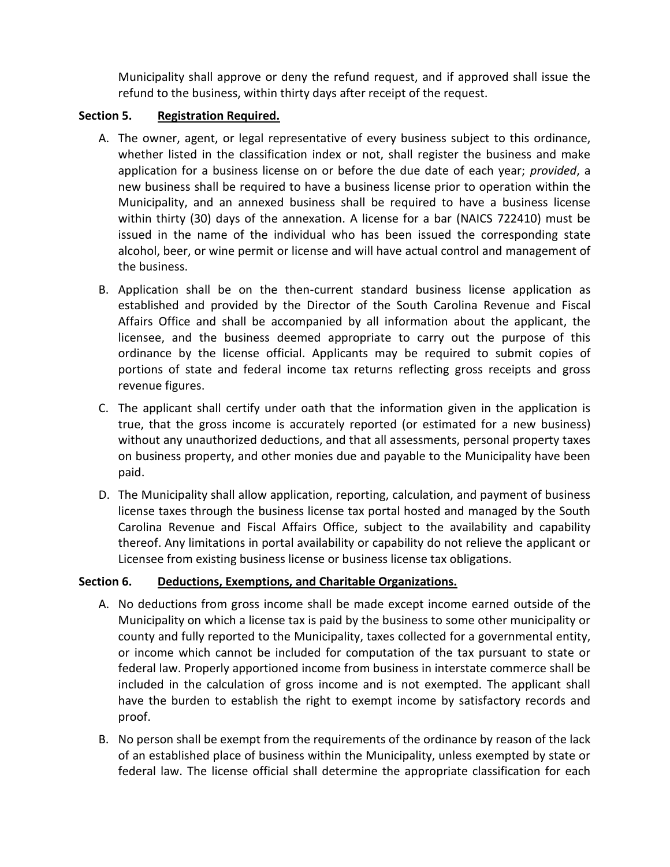Municipality shall approve or deny the refund request, and if approved shall issue the refund to the business, within thirty days after receipt of the request.

#### **Section 5. Registration Required.**

- A. The owner, agent, or legal representative of every business subject to this ordinance, whether listed in the classification index or not, shall register the business and make application for a business license on or before the due date of each year; *provided*, a new business shall be required to have a business license prior to operation within the Municipality, and an annexed business shall be required to have a business license within thirty (30) days of the annexation. A license for a bar (NAICS 722410) must be issued in the name of the individual who has been issued the corresponding state alcohol, beer, or wine permit or license and will have actual control and management of the business.
- B. Application shall be on the then-current standard business license application as established and provided by the Director of the South Carolina Revenue and Fiscal Affairs Office and shall be accompanied by all information about the applicant, the licensee, and the business deemed appropriate to carry out the purpose of this ordinance by the license official. Applicants may be required to submit copies of portions of state and federal income tax returns reflecting gross receipts and gross revenue figures.
- C. The applicant shall certify under oath that the information given in the application is true, that the gross income is accurately reported (or estimated for a new business) without any unauthorized deductions, and that all assessments, personal property taxes on business property, and other monies due and payable to the Municipality have been paid.
- D. The Municipality shall allow application, reporting, calculation, and payment of business license taxes through the business license tax portal hosted and managed by the South Carolina Revenue and Fiscal Affairs Office, subject to the availability and capability thereof. Any limitations in portal availability or capability do not relieve the applicant or Licensee from existing business license or business license tax obligations.

#### **Section 6. Deductions, Exemptions, and Charitable Organizations.**

- A. No deductions from gross income shall be made except income earned outside of the Municipality on which a license tax is paid by the business to some other municipality or county and fully reported to the Municipality, taxes collected for a governmental entity, or income which cannot be included for computation of the tax pursuant to state or federal law. Properly apportioned income from business in interstate commerce shall be included in the calculation of gross income and is not exempted. The applicant shall have the burden to establish the right to exempt income by satisfactory records and proof.
- B. No person shall be exempt from the requirements of the ordinance by reason of the lack of an established place of business within the Municipality, unless exempted by state or federal law. The license official shall determine the appropriate classification for each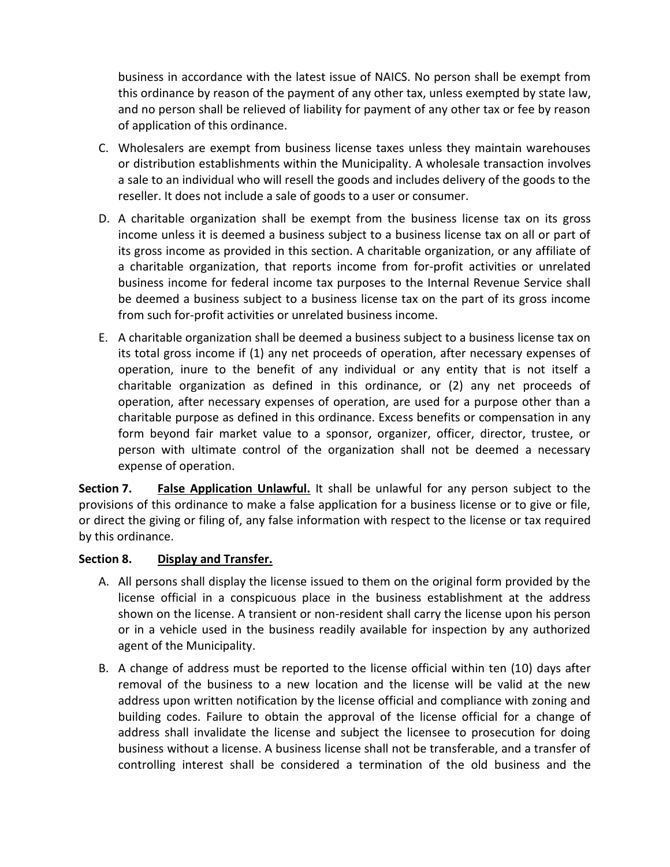business in accordance with the latest issue of NAICS. No person shall be exempt from this ordinance by reason of the payment of any other tax, unless exempted by state law, and no person shall be relieved of liability for payment of any other tax or fee by reason of application of this ordinance.

- C. Wholesalers are exempt from business license taxes unless they maintain warehouses or distribution establishments within the Municipality. A wholesale transaction involves a sale to an individual who will resell the goods and includes delivery of the goods to the reseller. It does not include a sale of goods to a user or consumer.
- D. A charitable organization shall be exempt from the business license tax on its gross income unless it is deemed a business subject to a business license tax on all or part of its gross income as provided in this section. A charitable organization, or any affiliate of a charitable organization, that reports income from for-profit activities or unrelated business income for federal income tax purposes to the Internal Revenue Service shall be deemed a business subject to a business license tax on the part of its gross income from such for-profit activities or unrelated business income.
- E. A charitable organization shall be deemed a business subject to a business license tax on its total gross income if (1) any net proceeds of operation, after necessary expenses of operation, inure to the benefit of any individual or any entity that is not itself a charitable organization as defined in this ordinance, or (2) any net proceeds of operation, after necessary expenses of operation, are used for a purpose other than a charitable purpose as defined in this ordinance. Excess benefits or compensation in any form beyond fair market value to a sponsor, organizer, officer, director, trustee, or person with ultimate control of the organization shall not be deemed a necessary expense of operation.

**Section 7. False Application Unlawful.** It shall be unlawful for any person subject to the provisions of this ordinance to make a false application for a business license or to give or file, or direct the giving or filing of, any false information with respect to the license or tax required by this ordinance.

#### **Section 8. Display and Transfer.**

- A. All persons shall display the license issued to them on the original form provided by the license official in a conspicuous place in the business establishment at the address shown on the license. A transient or non-resident shall carry the license upon his person or in a vehicle used in the business readily available for inspection by any authorized agent of the Municipality.
- B. A change of address must be reported to the license official within ten (10) days after removal of the business to a new location and the license will be valid at the new address upon written notification by the license official and compliance with zoning and building codes. Failure to obtain the approval of the license official for a change of address shall invalidate the license and subject the licensee to prosecution for doing business without a license. A business license shall not be transferable, and a transfer of controlling interest shall be considered a termination of the old business and the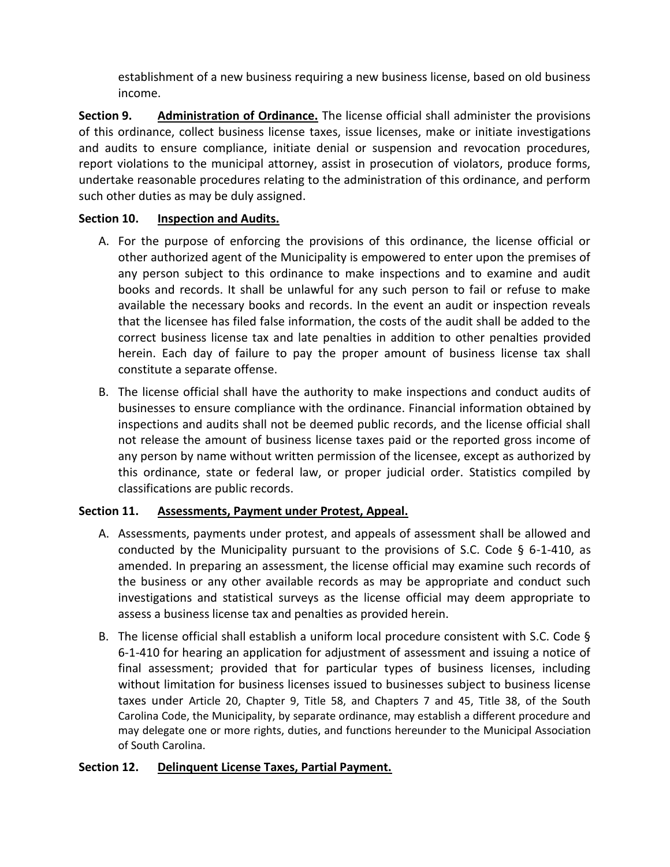establishment of a new business requiring a new business license, based on old business income.

**Section 9. Administration of Ordinance.** The license official shall administer the provisions of this ordinance, collect business license taxes, issue licenses, make or initiate investigations and audits to ensure compliance, initiate denial or suspension and revocation procedures, report violations to the municipal attorney, assist in prosecution of violators, produce forms, undertake reasonable procedures relating to the administration of this ordinance, and perform such other duties as may be duly assigned.

#### **Section 10. Inspection and Audits.**

- A. For the purpose of enforcing the provisions of this ordinance, the license official or other authorized agent of the Municipality is empowered to enter upon the premises of any person subject to this ordinance to make inspections and to examine and audit books and records. It shall be unlawful for any such person to fail or refuse to make available the necessary books and records. In the event an audit or inspection reveals that the licensee has filed false information, the costs of the audit shall be added to the correct business license tax and late penalties in addition to other penalties provided herein. Each day of failure to pay the proper amount of business license tax shall constitute a separate offense.
- B. The license official shall have the authority to make inspections and conduct audits of businesses to ensure compliance with the ordinance. Financial information obtained by inspections and audits shall not be deemed public records, and the license official shall not release the amount of business license taxes paid or the reported gross income of any person by name without written permission of the licensee, except as authorized by this ordinance, state or federal law, or proper judicial order. Statistics compiled by classifications are public records.

#### **Section 11. Assessments, Payment under Protest, Appeal.**

- A. Assessments, payments under protest, and appeals of assessment shall be allowed and conducted by the Municipality pursuant to the provisions of S.C. Code  $\S$  6-1-410, as amended. In preparing an assessment, the license official may examine such records of the business or any other available records as may be appropriate and conduct such investigations and statistical surveys as the license official may deem appropriate to assess a business license tax and penalties as provided herein.
- B. The license official shall establish a uniform local procedure consistent with S.C. Code § 6-1-410 for hearing an application for adjustment of assessment and issuing a notice of final assessment; provided that for particular types of business licenses, including without limitation for business licenses issued to businesses subject to business license taxes under Article 20, Chapter 9, Title 58, and Chapters 7 and 45, Title 38, of the South Carolina Code, the Municipality, by separate ordinance, may establish a different procedure and may delegate one or more rights, duties, and functions hereunder to the Municipal Association of South Carolina.

#### **Section 12. Delinquent License Taxes, Partial Payment.**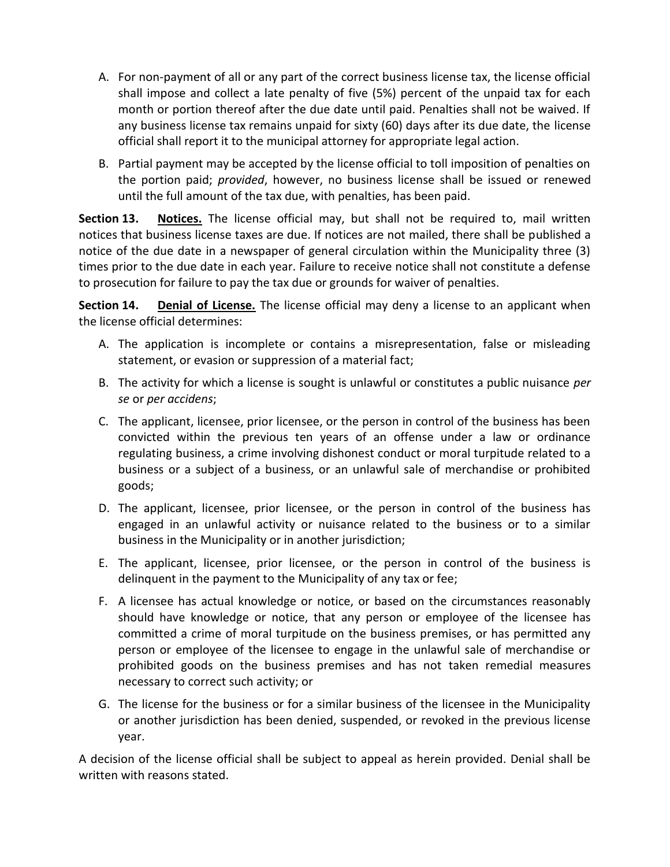- A. For non-payment of all or any part of the correct business license tax, the license official shall impose and collect a late penalty of five (5%) percent of the unpaid tax for each month or portion thereof after the due date until paid. Penalties shall not be waived. If any business license tax remains unpaid for sixty (60) days after its due date, the license official shall report it to the municipal attorney for appropriate legal action.
- B. Partial payment may be accepted by the license official to toll imposition of penalties on the portion paid; *provided*, however, no business license shall be issued or renewed until the full amount of the tax due, with penalties, has been paid.

**Section 13. Notices.** The license official may, but shall not be required to, mail written notices that business license taxes are due. If notices are not mailed, there shall be published a notice of the due date in a newspaper of general circulation within the Municipality three (3) times prior to the due date in each year. Failure to receive notice shall not constitute a defense to prosecution for failure to pay the tax due or grounds for waiver of penalties.

**Section 14. Denial of License.** The license official may deny a license to an applicant when the license official determines:

- A. The application is incomplete or contains a misrepresentation, false or misleading statement, or evasion or suppression of a material fact;
- B. The activity for which a license is sought is unlawful or constitutes a public nuisance *per se* or *per accidens*;
- C. The applicant, licensee, prior licensee, or the person in control of the business has been convicted within the previous ten years of an offense under a law or ordinance regulating business, a crime involving dishonest conduct or moral turpitude related to a business or a subject of a business, or an unlawful sale of merchandise or prohibited goods;
- D. The applicant, licensee, prior licensee, or the person in control of the business has engaged in an unlawful activity or nuisance related to the business or to a similar business in the Municipality or in another jurisdiction;
- E. The applicant, licensee, prior licensee, or the person in control of the business is delinquent in the payment to the Municipality of any tax or fee;
- F. A licensee has actual knowledge or notice, or based on the circumstances reasonably should have knowledge or notice, that any person or employee of the licensee has committed a crime of moral turpitude on the business premises, or has permitted any person or employee of the licensee to engage in the unlawful sale of merchandise or prohibited goods on the business premises and has not taken remedial measures necessary to correct such activity; or
- G. The license for the business or for a similar business of the licensee in the Municipality or another jurisdiction has been denied, suspended, or revoked in the previous license year.

A decision of the license official shall be subject to appeal as herein provided. Denial shall be written with reasons stated.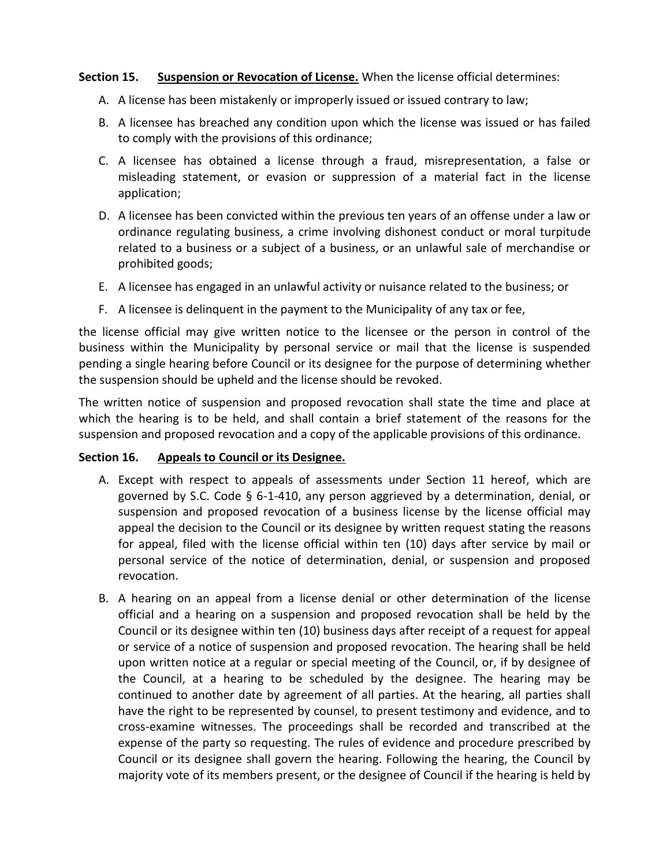#### **Section 15. Suspension or Revocation of License.** When the license official determines:

- A. A license has been mistakenly or improperly issued or issued contrary to law;
- B. A licensee has breached any condition upon which the license was issued or has failed to comply with the provisions of this ordinance;
- C. A licensee has obtained a license through a fraud, misrepresentation, a false or misleading statement, or evasion or suppression of a material fact in the license application;
- D. A licensee has been convicted within the previous ten years of an offense under a law or ordinance regulating business, a crime involving dishonest conduct or moral turpitude related to a business or a subject of a business, or an unlawful sale of merchandise or prohibited goods;
- E. A licensee has engaged in an unlawful activity or nuisance related to the business; or
- F. A licensee is delinquent in the payment to the Municipality of any tax or fee,

the license official may give written notice to the licensee or the person in control of the business within the Municipality by personal service or mail that the license is suspended pending a single hearing before Council or its designee for the purpose of determining whether the suspension should be upheld and the license should be revoked.

The written notice of suspension and proposed revocation shall state the time and place at which the hearing is to be held, and shall contain a brief statement of the reasons for the suspension and proposed revocation and a copy of the applicable provisions of this ordinance.

#### **Section 16. Appeals to Council or its Designee.**

- A. Except with respect to appeals of assessments under Section 11 hereof, which are governed by S.C. Code § 6-1-410, any person aggrieved by a determination, denial, or suspension and proposed revocation of a business license by the license official may appeal the decision to the Council or its designee by written request stating the reasons for appeal, filed with the license official within ten (10) days after service by mail or personal service of the notice of determination, denial, or suspension and proposed revocation.
- B. A hearing on an appeal from a license denial or other determination of the license official and a hearing on a suspension and proposed revocation shall be held by the Council or its designee within ten (10) business days after receipt of a request for appeal or service of a notice of suspension and proposed revocation. The hearing shall be held upon written notice at a regular or special meeting of the Council, or, if by designee of the Council, at a hearing to be scheduled by the designee. The hearing may be continued to another date by agreement of all parties. At the hearing, all parties shall have the right to be represented by counsel, to present testimony and evidence, and to cross-examine witnesses. The proceedings shall be recorded and transcribed at the expense of the party so requesting. The rules of evidence and procedure prescribed by Council or its designee shall govern the hearing. Following the hearing, the Council by majority vote of its members present, or the designee of Council if the hearing is held by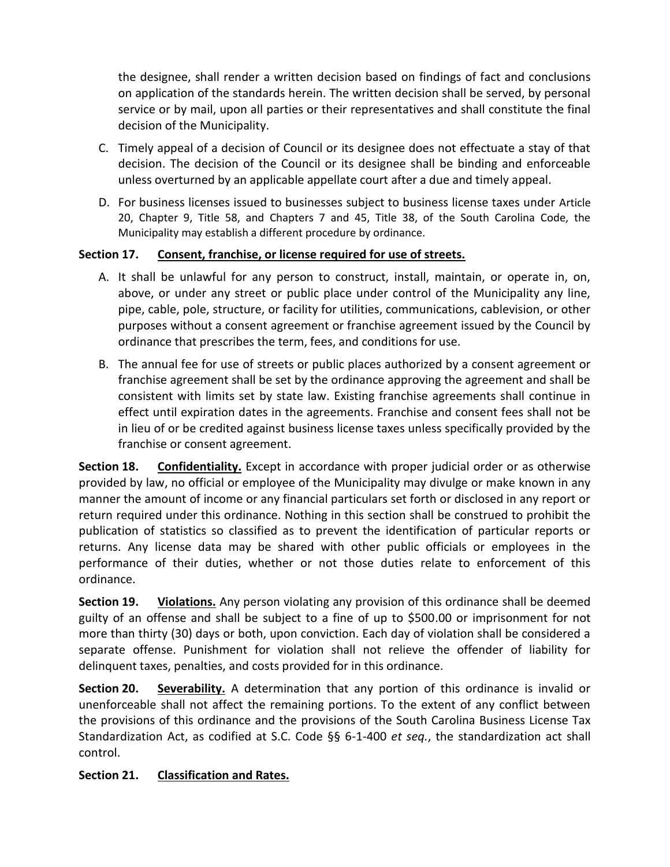the designee, shall render a written decision based on findings of fact and conclusions on application of the standards herein. The written decision shall be served, by personal service or by mail, upon all parties or their representatives and shall constitute the final decision of the Municipality.

- C. Timely appeal of a decision of Council or its designee does not effectuate a stay of that decision. The decision of the Council or its designee shall be binding and enforceable unless overturned by an applicable appellate court after a due and timely appeal.
- D. For business licenses issued to businesses subject to business license taxes under Article 20, Chapter 9, Title 58, and Chapters 7 and 45, Title 38, of the South Carolina Code, the Municipality may establish a different procedure by ordinance.

#### **Section 17. Consent, franchise, or license required for use of streets.**

- A. It shall be unlawful for any person to construct, install, maintain, or operate in, on, above, or under any street or public place under control of the Municipality any line, pipe, cable, pole, structure, or facility for utilities, communications, cablevision, or other purposes without a consent agreement or franchise agreement issued by the Council by ordinance that prescribes the term, fees, and conditions for use.
- B. The annual fee for use of streets or public places authorized by a consent agreement or franchise agreement shall be set by the ordinance approving the agreement and shall be consistent with limits set by state law. Existing franchise agreements shall continue in effect until expiration dates in the agreements. Franchise and consent fees shall not be in lieu of or be credited against business license taxes unless specifically provided by the franchise or consent agreement.

**Section 18. Confidentiality.** Except in accordance with proper judicial order or as otherwise provided by law, no official or employee of the Municipality may divulge or make known in any manner the amount of income or any financial particulars set forth or disclosed in any report or return required under this ordinance. Nothing in this section shall be construed to prohibit the publication of statistics so classified as to prevent the identification of particular reports or returns. Any license data may be shared with other public officials or employees in the performance of their duties, whether or not those duties relate to enforcement of this ordinance.

**Section 19.** Violations. Any person violating any provision of this ordinance shall be deemed guilty of an offense and shall be subject to a fine of up to \$500.00 or imprisonment for not more than thirty (30) days or both, upon conviction. Each day of violation shall be considered a separate offense. Punishment for violation shall not relieve the offender of liability for delinquent taxes, penalties, and costs provided for in this ordinance.

**Section 20.** Severability. A determination that any portion of this ordinance is invalid or unenforceable shall not affect the remaining portions. To the extent of any conflict between the provisions of this ordinance and the provisions of the South Carolina Business License Tax Standardization Act, as codified at S.C. Code §§ 6-1-400 *et seq.*, the standardization act shall control.

#### **Section 21. Classification and Rates.**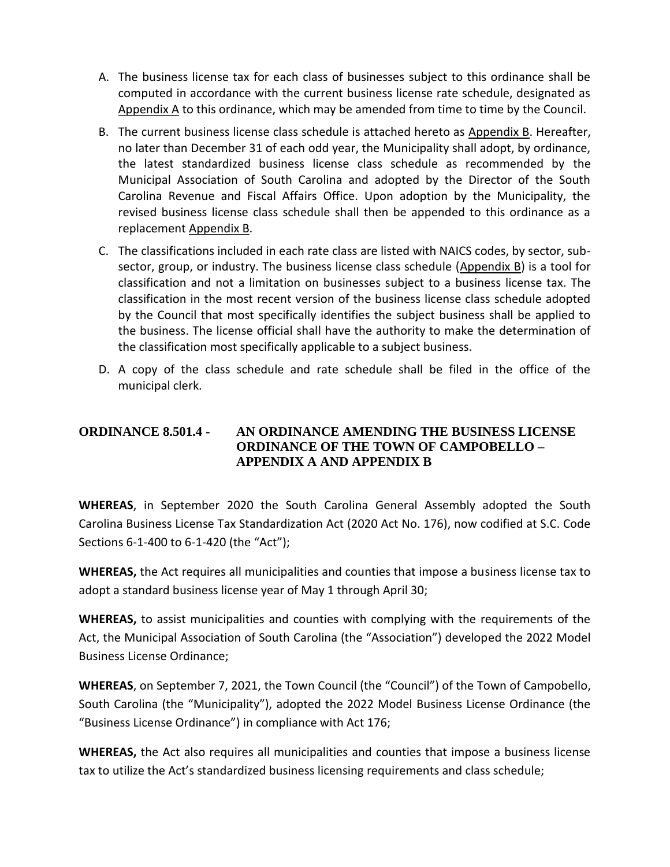- A. The business license tax for each class of businesses subject to this ordinance shall be computed in accordance with the current business license rate schedule, designated as Appendix A to this ordinance, which may be amended from time to time by the Council.
- B. The current business license class schedule is attached hereto as Appendix B. Hereafter, no later than December 31 of each odd year, the Municipality shall adopt, by ordinance, the latest standardized business license class schedule as recommended by the Municipal Association of South Carolina and adopted by the Director of the South Carolina Revenue and Fiscal Affairs Office. Upon adoption by the Municipality, the revised business license class schedule shall then be appended to this ordinance as a replacement Appendix B.
- C. The classifications included in each rate class are listed with NAICS codes, by sector, subsector, group, or industry. The business license class schedule (Appendix B) is a tool for classification and not a limitation on businesses subject to a business license tax. The classification in the most recent version of the business license class schedule adopted by the Council that most specifically identifies the subject business shall be applied to the business. The license official shall have the authority to make the determination of the classification most specifically applicable to a subject business.
- D. A copy of the class schedule and rate schedule shall be filed in the office of the municipal clerk.

#### **ORDINANCE 8.501.4 - AN ORDINANCE AMENDING THE BUSINESS LICENSE ORDINANCE OF THE TOWN OF CAMPOBELLO – APPENDIX A AND APPENDIX B**

**WHEREAS**, in September 2020 the South Carolina General Assembly adopted the South Carolina Business License Tax Standardization Act (2020 Act No. 176), now codified at S.C. Code Sections 6-1-400 to 6-1-420 (the "Act");

**WHEREAS,** the Act requires all municipalities and counties that impose a business license tax to adopt a standard business license year of May 1 through April 30;

**WHEREAS,** to assist municipalities and counties with complying with the requirements of the Act, the Municipal Association of South Carolina (the "Association") developed the 2022 Model Business License Ordinance;

**WHEREAS**, on September 7, 2021, the Town Council (the "Council") of the Town of Campobello, South Carolina (the "Municipality"), adopted the 2022 Model Business License Ordinance (the "Business License Ordinance") in compliance with Act 176;

**WHEREAS,** the Act also requires all municipalities and counties that impose a business license tax to utilize the Act's standardized business licensing requirements and class schedule;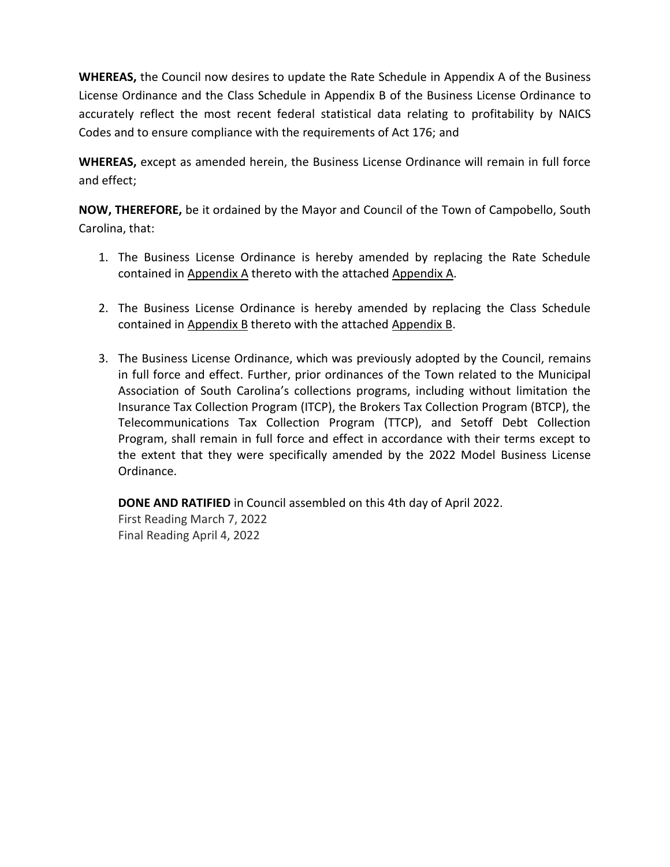**WHEREAS,** the Council now desires to update the Rate Schedule in Appendix A of the Business License Ordinance and the Class Schedule in Appendix B of the Business License Ordinance to accurately reflect the most recent federal statistical data relating to profitability by NAICS Codes and to ensure compliance with the requirements of Act 176; and

**WHEREAS,** except as amended herein, the Business License Ordinance will remain in full force and effect;

**NOW, THEREFORE,** be it ordained by the Mayor and Council of the Town of Campobello, South Carolina, that:

- 1. The Business License Ordinance is hereby amended by replacing the Rate Schedule contained in Appendix A thereto with the attached Appendix A.
- 2. The Business License Ordinance is hereby amended by replacing the Class Schedule contained in Appendix B thereto with the attached Appendix B.
- 3. The Business License Ordinance, which was previously adopted by the Council, remains in full force and effect. Further, prior ordinances of the Town related to the Municipal Association of South Carolina's collections programs, including without limitation the Insurance Tax Collection Program (ITCP), the Brokers Tax Collection Program (BTCP), the Telecommunications Tax Collection Program (TTCP), and Setoff Debt Collection Program, shall remain in full force and effect in accordance with their terms except to the extent that they were specifically amended by the 2022 Model Business License Ordinance.

**DONE AND RATIFIED** in Council assembled on this 4th day of April 2022. First Reading March 7, 2022 Final Reading April 4, 2022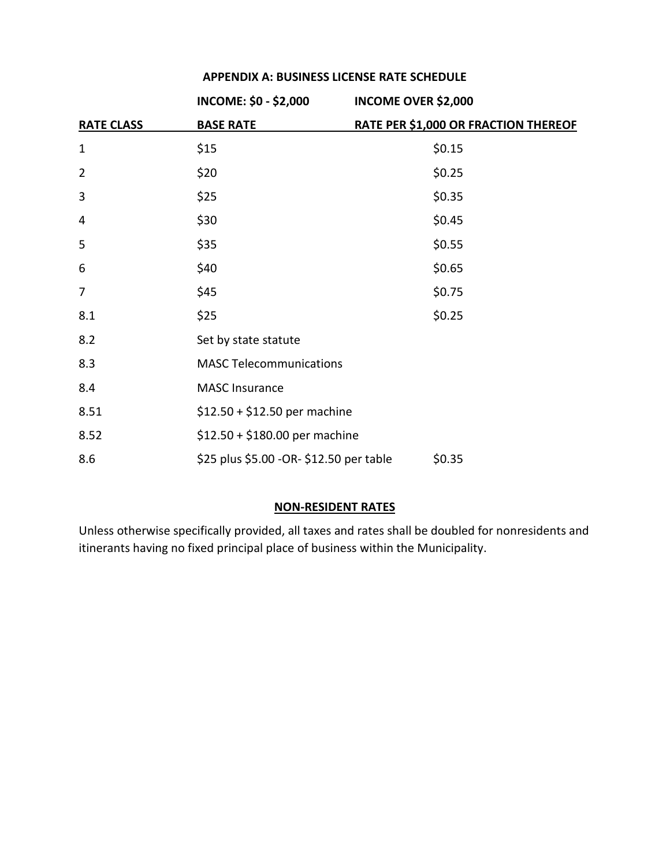| APPENDIX A: BUSINESS LICENSE RATE SCHEDULE |  |
|--------------------------------------------|--|
|--------------------------------------------|--|

|                   | <b>INCOME: \$0 - \$2,000</b>            | <b>INCOME OVER \$2,000</b>           |
|-------------------|-----------------------------------------|--------------------------------------|
| <b>RATE CLASS</b> | <b>BASE RATE</b>                        | RATE PER \$1,000 OR FRACTION THEREOF |
| $\mathbf 1$       | \$15                                    | \$0.15                               |
| $\overline{2}$    | \$20                                    | \$0.25                               |
| 3                 | \$25                                    | \$0.35                               |
| 4                 | \$30                                    | \$0.45                               |
| 5                 | \$35                                    | \$0.55                               |
| 6                 | \$40                                    | \$0.65                               |
| 7                 | \$45                                    | \$0.75                               |
| 8.1               | \$25                                    | \$0.25                               |
| 8.2               | Set by state statute                    |                                      |
| 8.3               | <b>MASC Telecommunications</b>          |                                      |
| 8.4               | <b>MASC Insurance</b>                   |                                      |
| 8.51              | $$12.50 + $12.50$ per machine           |                                      |
| 8.52              | $$12.50 + $180.00$ per machine          |                                      |
| 8.6               | \$25 plus \$5.00 -OR- \$12.50 per table | \$0.35                               |

#### **NON-RESIDENT RATES**

Unless otherwise specifically provided, all taxes and rates shall be doubled for nonresidents and itinerants having no fixed principal place of business within the Municipality.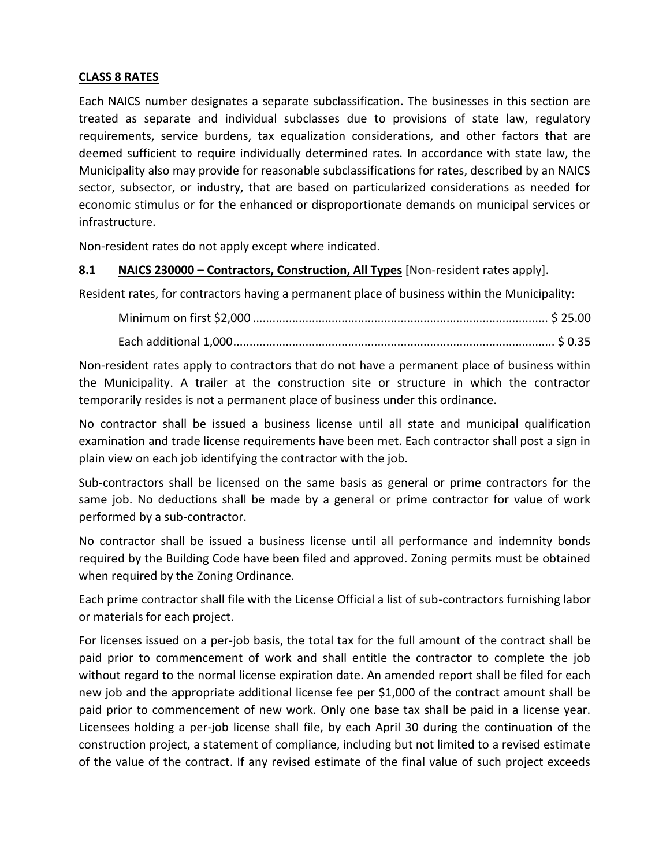#### **CLASS 8 RATES**

Each NAICS number designates a separate subclassification. The businesses in this section are treated as separate and individual subclasses due to provisions of state law, regulatory requirements, service burdens, tax equalization considerations, and other factors that are deemed sufficient to require individually determined rates. In accordance with state law, the Municipality also may provide for reasonable subclassifications for rates, described by an NAICS sector, subsector, or industry, that are based on particularized considerations as needed for economic stimulus or for the enhanced or disproportionate demands on municipal services or infrastructure.

Non-resident rates do not apply except where indicated.

#### **8.1 NAICS 230000 – Contractors, Construction, All Types** [Non-resident rates apply].

Resident rates, for contractors having a permanent place of business within the Municipality:

Non-resident rates apply to contractors that do not have a permanent place of business within the Municipality. A trailer at the construction site or structure in which the contractor temporarily resides is not a permanent place of business under this ordinance.

No contractor shall be issued a business license until all state and municipal qualification examination and trade license requirements have been met. Each contractor shall post a sign in plain view on each job identifying the contractor with the job.

Sub-contractors shall be licensed on the same basis as general or prime contractors for the same job. No deductions shall be made by a general or prime contractor for value of work performed by a sub-contractor.

No contractor shall be issued a business license until all performance and indemnity bonds required by the Building Code have been filed and approved. Zoning permits must be obtained when required by the Zoning Ordinance.

Each prime contractor shall file with the License Official a list of sub-contractors furnishing labor or materials for each project.

For licenses issued on a per-job basis, the total tax for the full amount of the contract shall be paid prior to commencement of work and shall entitle the contractor to complete the job without regard to the normal license expiration date. An amended report shall be filed for each new job and the appropriate additional license fee per \$1,000 of the contract amount shall be paid prior to commencement of new work. Only one base tax shall be paid in a license year. Licensees holding a per-job license shall file, by each April 30 during the continuation of the construction project, a statement of compliance, including but not limited to a revised estimate of the value of the contract. If any revised estimate of the final value of such project exceeds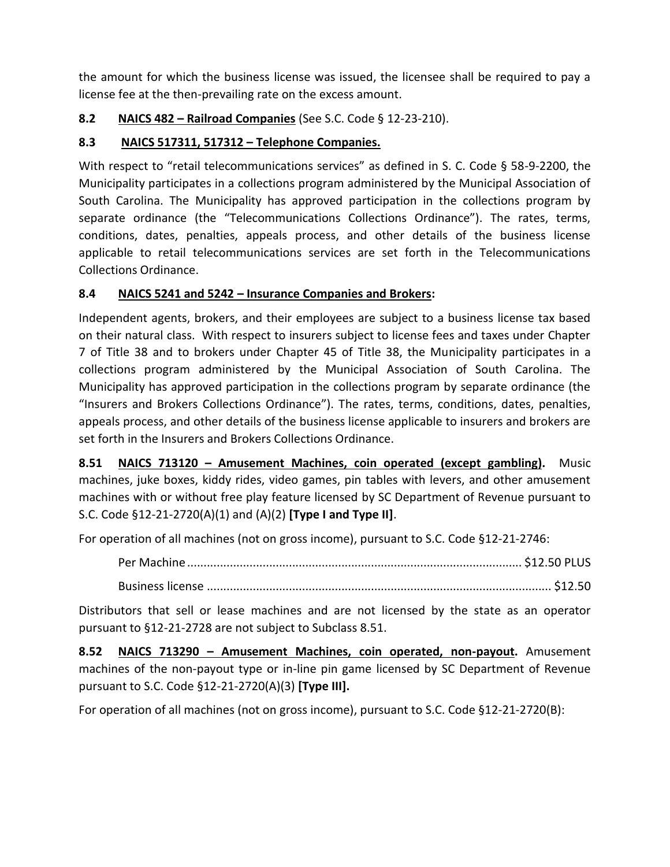the amount for which the business license was issued, the licensee shall be required to pay a license fee at the then-prevailing rate on the excess amount.

#### **8.2 NAICS 482 – Railroad Companies** (See S.C. Code § 12-23-210).

#### **8.3 NAICS 517311, 517312 – Telephone Companies.**

With respect to "retail telecommunications services" as defined in S. C. Code § 58-9-2200, the Municipality participates in a collections program administered by the Municipal Association of South Carolina. The Municipality has approved participation in the collections program by separate ordinance (the "Telecommunications Collections Ordinance"). The rates, terms, conditions, dates, penalties, appeals process, and other details of the business license applicable to retail telecommunications services are set forth in the Telecommunications Collections Ordinance.

#### **8.4 NAICS 5241 and 5242 – Insurance Companies and Brokers:**

Independent agents, brokers, and their employees are subject to a business license tax based on their natural class. With respect to insurers subject to license fees and taxes under Chapter 7 of Title 38 and to brokers under Chapter 45 of Title 38, the Municipality participates in a collections program administered by the Municipal Association of South Carolina. The Municipality has approved participation in the collections program by separate ordinance (the "Insurers and Brokers Collections Ordinance"). The rates, terms, conditions, dates, penalties, appeals process, and other details of the business license applicable to insurers and brokers are set forth in the Insurers and Brokers Collections Ordinance.

**8.51 NAICS 713120 – Amusement Machines, coin operated (except gambling).** Music machines, juke boxes, kiddy rides, video games, pin tables with levers, and other amusement machines with or without free play feature licensed by SC Department of Revenue pursuant to S.C. Code §12-21-2720(A)(1) and (A)(2) **[Type I and Type II]**.

For operation of all machines (not on gross income), pursuant to S.C. Code §12-21-2746:

Per Machine ...................................................................................................... \$12.50 PLUS

Business license ......................................................................................................... \$12.50

Distributors that sell or lease machines and are not licensed by the state as an operator pursuant to §12-21-2728 are not subject to Subclass 8.51.

**8.52 NAICS 713290 – Amusement Machines, coin operated, non-payout.** Amusement machines of the non-payout type or in-line pin game licensed by SC Department of Revenue pursuant to S.C. Code §12-21-2720(A)(3) **[Type III].**

For operation of all machines (not on gross income), pursuant to S.C. Code §12-21-2720(B):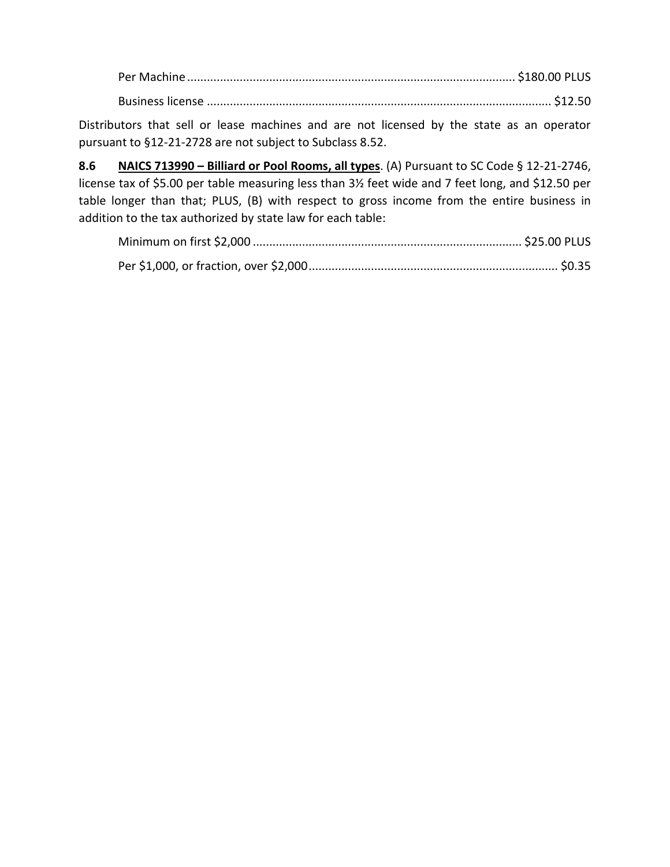Per Machine .................................................................................................... \$180.00 PLUS Business license ......................................................................................................... \$12.50

Distributors that sell or lease machines and are not licensed by the state as an operator pursuant to §12-21-2728 are not subject to Subclass 8.52.

**8.6 NAICS 713990 – Billiard or Pool Rooms, all types**. (A) Pursuant to SC Code § 12-21-2746, license tax of \$5.00 per table measuring less than 3½ feet wide and 7 feet long, and \$12.50 per table longer than that; PLUS, (B) with respect to gross income from the entire business in addition to the tax authorized by state law for each table: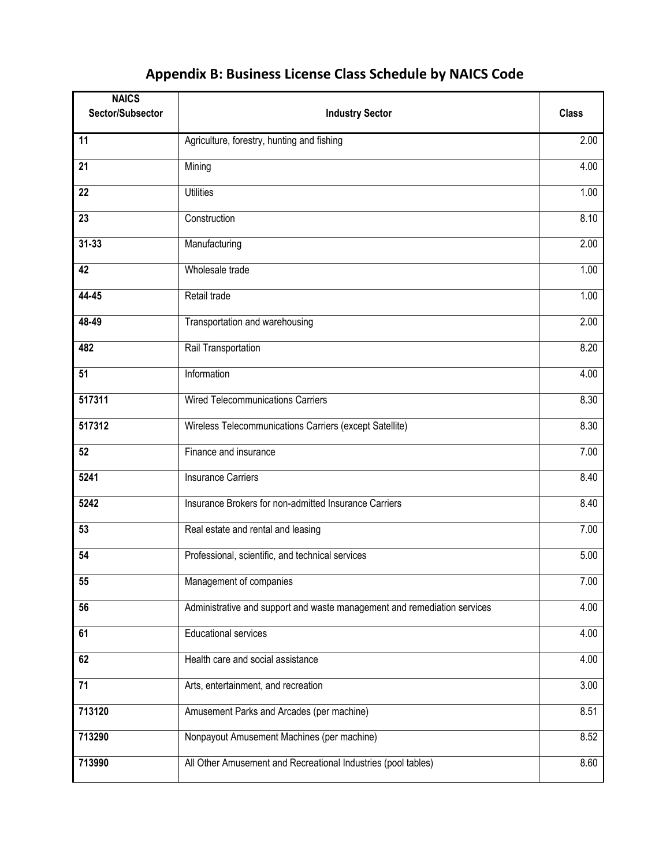## **Appendix B: Business License Class Schedule by NAICS Code**

| <b>NAICS</b><br>Sector/Subsector | <b>Industry Sector</b>                                                   | <b>Class</b> |
|----------------------------------|--------------------------------------------------------------------------|--------------|
| 11                               | Agriculture, forestry, hunting and fishing                               | 2.00         |
| $\overline{21}$                  | Mining                                                                   | 4.00         |
| 22                               | <b>Utilities</b>                                                         | 1.00         |
| 23                               | Construction                                                             | 8.10         |
| $31 - 33$                        | Manufacturing                                                            | 2.00         |
| 42                               | Wholesale trade                                                          | 1.00         |
| 44-45                            | Retail trade                                                             | 1.00         |
| 48-49                            | Transportation and warehousing                                           | 2.00         |
| 482                              | Rail Transportation                                                      | 8.20         |
| 51                               | Information                                                              | 4.00         |
| 517311                           | <b>Wired Telecommunications Carriers</b>                                 | 8.30         |
| 517312                           | Wireless Telecommunications Carriers (except Satellite)                  | 8.30         |
| 52                               | Finance and insurance                                                    | 7.00         |
| 5241                             | Insurance Carriers                                                       | 8.40         |
| 5242                             | Insurance Brokers for non-admitted Insurance Carriers                    | 8.40         |
| 53                               | Real estate and rental and leasing                                       | 7.00         |
| 54                               | Professional, scientific, and technical services                         | 5.00         |
| 55                               | Management of companies                                                  | 7.00         |
| 56                               | Administrative and support and waste management and remediation services | 4.00         |
| 61                               | <b>Educational services</b>                                              | 4.00         |
| 62                               | Health care and social assistance                                        | 4.00         |
| $\overline{71}$                  | Arts, entertainment, and recreation                                      | 3.00         |
| 713120                           | Amusement Parks and Arcades (per machine)                                | 8.51         |
| 713290                           | Nonpayout Amusement Machines (per machine)                               | 8.52         |
| 713990                           | All Other Amusement and Recreational Industries (pool tables)            | 8.60         |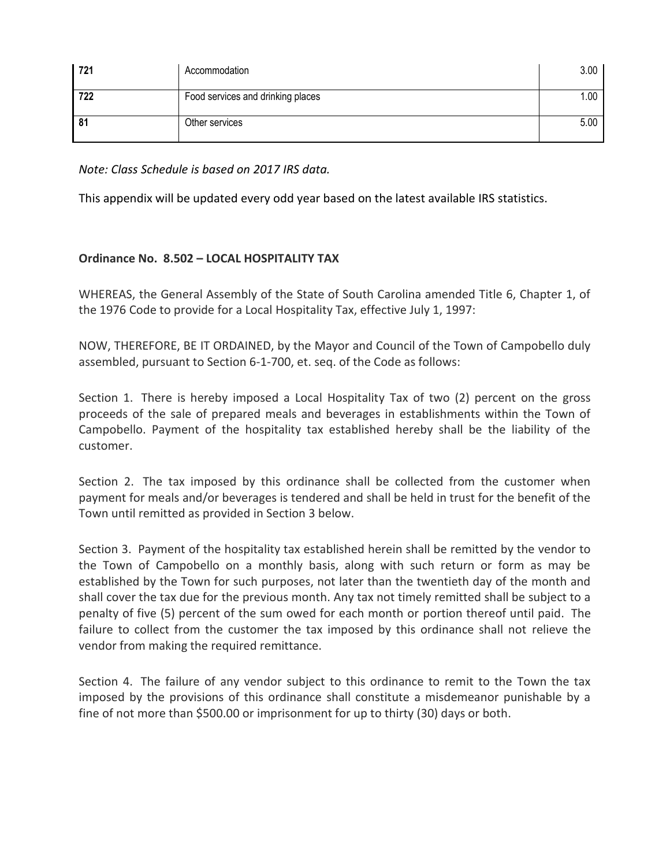| 721 | Accommodation                     | 3.00 |
|-----|-----------------------------------|------|
| 722 | Food services and drinking places | 1.00 |
| 81  | Other services                    | 5.00 |

*Note: Class Schedule is based on 2017 IRS data.*

This appendix will be updated every odd year based on the latest available IRS statistics.

#### **Ordinance No. 8.502 – LOCAL HOSPITALITY TAX**

WHEREAS, the General Assembly of the State of South Carolina amended Title 6, Chapter 1, of the 1976 Code to provide for a Local Hospitality Tax, effective July 1, 1997:

NOW, THEREFORE, BE IT ORDAINED, by the Mayor and Council of the Town of Campobello duly assembled, pursuant to Section 6-1-700, et. seq. of the Code as follows:

Section 1. There is hereby imposed a Local Hospitality Tax of two (2) percent on the gross proceeds of the sale of prepared meals and beverages in establishments within the Town of Campobello. Payment of the hospitality tax established hereby shall be the liability of the customer.

Section 2. The tax imposed by this ordinance shall be collected from the customer when payment for meals and/or beverages is tendered and shall be held in trust for the benefit of the Town until remitted as provided in Section 3 below.

Section 3. Payment of the hospitality tax established herein shall be remitted by the vendor to the Town of Campobello on a monthly basis, along with such return or form as may be established by the Town for such purposes, not later than the twentieth day of the month and shall cover the tax due for the previous month. Any tax not timely remitted shall be subject to a penalty of five (5) percent of the sum owed for each month or portion thereof until paid. The failure to collect from the customer the tax imposed by this ordinance shall not relieve the vendor from making the required remittance.

Section 4. The failure of any vendor subject to this ordinance to remit to the Town the tax imposed by the provisions of this ordinance shall constitute a misdemeanor punishable by a fine of not more than \$500.00 or imprisonment for up to thirty (30) days or both.